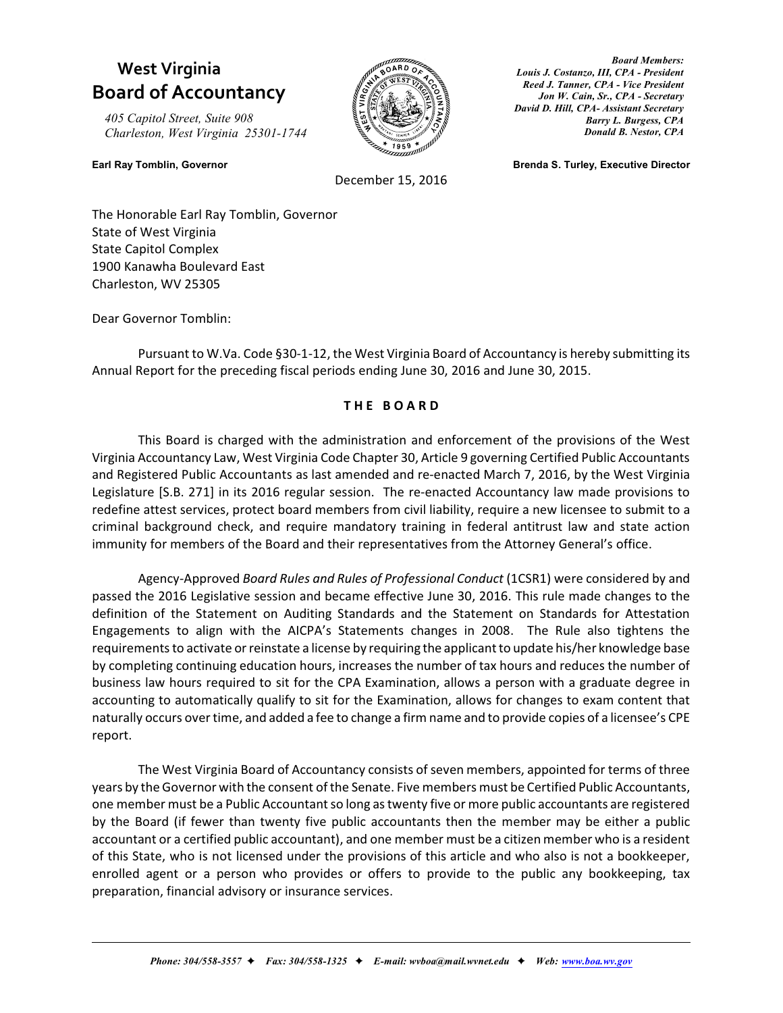## **West Virginia Board of Accountancy**

*405 Capitol Street, Suite 908 Charleston, West Virginia 25301-1744*



December 15, 2016

*Board Members: Louis J. Costanzo, III, CPA - President Reed J. Tanner, CPA - Vice President Jon W. Cain, Sr., CPA - Secretary David D. Hill, CPA- Assistant Secretary Barry L. Burgess, CPA Donald B. Nestor, CPA*

**Earl Ray Tomblin, Governor Brenda S. Turley, Executive Director**

The Honorable Earl Ray Tomblin, Governor State of West Virginia State Capitol Complex 1900 Kanawha Boulevard East Charleston, WV 25305

Dear Governor Tomblin:

Pursuant to W.Va. Code §30-1-12, the West Virginia Board of Accountancy is hereby submitting its Annual Report for the preceding fiscal periods ending June 30, 2016 and June 30, 2015.

### **T H E B O A R D**

This Board is charged with the administration and enforcement of the provisions of the West Virginia Accountancy Law, West Virginia Code Chapter 30, Article 9 governing Certified Public Accountants and Registered Public Accountants as last amended and re-enacted March 7, 2016, by the West Virginia Legislature [S.B. 271] in its 2016 regular session. The re-enacted Accountancy law made provisions to redefine attest services, protect board members from civil liability, require a new licensee to submit to a criminal background check, and require mandatory training in federal antitrust law and state action immunity for members of the Board and their representatives from the Attorney General's office.

Agency-Approved *Board Rules and Rules of Professional Conduct* (1CSR1) were considered by and passed the 2016 Legislative session and became effective June 30, 2016. This rule made changes to the definition of the Statement on Auditing Standards and the Statement on Standards for Attestation Engagements to align with the AICPA's Statements changes in 2008. The Rule also tightens the requirements to activate or reinstate a license by requiring the applicant to update his/her knowledge base by completing continuing education hours, increases the number of tax hours and reduces the number of business law hours required to sit for the CPA Examination, allows a person with a graduate degree in accounting to automatically qualify to sit for the Examination, allows for changes to exam content that naturally occurs over time, and added a fee to change a firm name and to provide copies of a licensee's CPE report.

The West Virginia Board of Accountancy consists of seven members, appointed for terms of three years by the Governor with the consent of the Senate. Five members must be Certified Public Accountants, one member must be a Public Accountant so long as twenty five or more public accountants are registered by the Board (if fewer than twenty five public accountants then the member may be either a public accountant or a certified public accountant), and one member must be a citizen member who is a resident of this State, who is not licensed under the provisions of this article and who also is not a bookkeeper, enrolled agent or a person who provides or offers to provide to the public any bookkeeping, tax preparation, financial advisory or insurance services.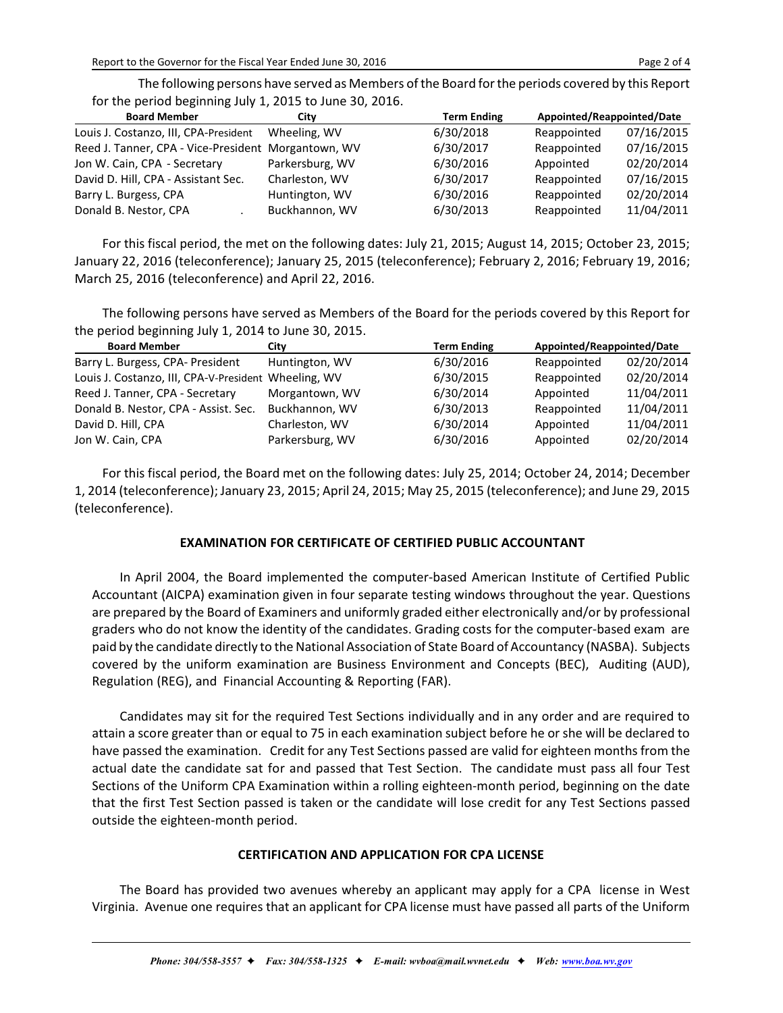The following persons have served as Members ofthe Board for the periods covered by this Report for the period beginning July 1, 2015 to June 30, 2016.

| <b>Board Member</b>                                 | City            | <b>Term Ending</b> | Appointed/Reappointed/Date |            |
|-----------------------------------------------------|-----------------|--------------------|----------------------------|------------|
| Louis J. Costanzo, III, CPA-President               | Wheeling, WV    | 6/30/2018          | Reappointed                | 07/16/2015 |
| Reed J. Tanner, CPA - Vice-President Morgantown, WV |                 | 6/30/2017          | Reappointed                | 07/16/2015 |
| Jon W. Cain, CPA - Secretary                        | Parkersburg, WV | 6/30/2016          | Appointed                  | 02/20/2014 |
| David D. Hill, CPA - Assistant Sec.                 | Charleston, WV  | 6/30/2017          | Reappointed                | 07/16/2015 |
| Barry L. Burgess, CPA                               | Huntington, WV  | 6/30/2016          | Reappointed                | 02/20/2014 |
| Donald B. Nestor, CPA                               | Buckhannon, WV  | 6/30/2013          | Reappointed                | 11/04/2011 |

For this fiscal period, the met on the following dates: July 21, 2015; August 14, 2015; October 23, 2015; January 22, 2016 (teleconference); January 25, 2015 (teleconference); February 2, 2016; February 19, 2016; March 25, 2016 (teleconference) and April 22, 2016.

The following persons have served as Members of the Board for the periods covered by this Report for the period beginning July 1, 2014 to June 30, 2015.

| <b>Board Member</b>                                  | City            | <b>Term Ending</b> | Appointed/Reappointed/Date |            |  |
|------------------------------------------------------|-----------------|--------------------|----------------------------|------------|--|
| Barry L. Burgess, CPA- President                     | Huntington, WV  | 6/30/2016          | Reappointed                | 02/20/2014 |  |
| Louis J. Costanzo, III, CPA-V-President Wheeling, WV |                 | 6/30/2015          | Reappointed                | 02/20/2014 |  |
| Reed J. Tanner, CPA - Secretary                      | Morgantown, WV  | 6/30/2014          | Appointed                  | 11/04/2011 |  |
| Donald B. Nestor, CPA - Assist. Sec.                 | Buckhannon, WV  | 6/30/2013          | Reappointed                | 11/04/2011 |  |
| David D. Hill, CPA                                   | Charleston, WV  | 6/30/2014          | Appointed                  | 11/04/2011 |  |
| Jon W. Cain, CPA                                     | Parkersburg, WV | 6/30/2016          | Appointed                  | 02/20/2014 |  |

For this fiscal period, the Board met on the following dates: July 25, 2014; October 24, 2014; December 1, 2014 (teleconference); January 23, 2015; April 24, 2015; May 25, 2015 (teleconference); and June 29, 2015 (teleconference).

### **EXAMINATION FOR CERTIFICATE OF CERTIFIED PUBLIC ACCOUNTANT**

In April 2004, the Board implemented the computer-based American Institute of Certified Public Accountant (AICPA) examination given in four separate testing windows throughout the year. Questions are prepared by the Board of Examiners and uniformly graded either electronically and/or by professional graders who do not know the identity of the candidates. Grading costs for the computer-based exam are paid by the candidate directly to the National Association of State Board of Accountancy (NASBA). Subjects covered by the uniform examination are Business Environment and Concepts (BEC), Auditing (AUD), Regulation (REG), and Financial Accounting & Reporting (FAR).

Candidates may sit for the required Test Sections individually and in any order and are required to attain a score greater than or equal to 75 in each examination subject before he or she will be declared to have passed the examination. Credit for any Test Sections passed are valid for eighteen months from the actual date the candidate sat for and passed that Test Section. The candidate must pass all four Test Sections of the Uniform CPA Examination within a rolling eighteen-month period, beginning on the date that the first Test Section passed is taken or the candidate will lose credit for any Test Sections passed outside the eighteen-month period.

### **CERTIFICATION AND APPLICATION FOR CPA LICENSE**

The Board has provided two avenues whereby an applicant may apply for a CPA license in West Virginia. Avenue one requires that an applicant for CPA license must have passed all parts of the Uniform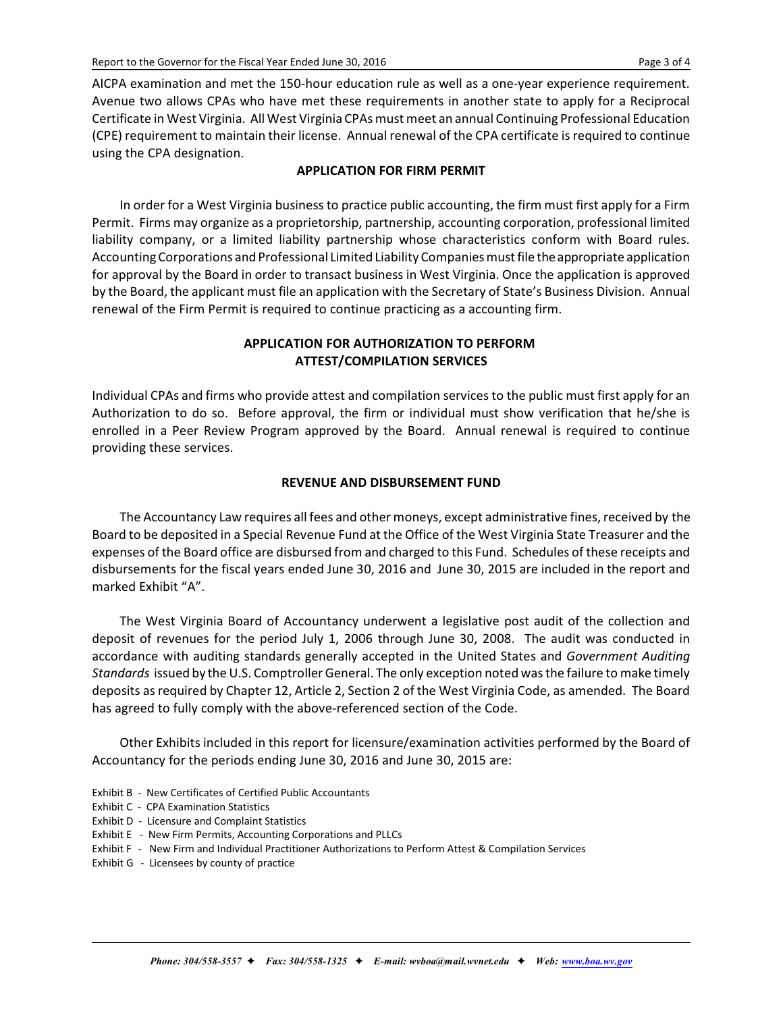AICPA examination and met the 150-hour education rule as well as a one-year experience requirement. Avenue two allows CPAs who have met these requirements in another state to apply for a Reciprocal Certificate in West Virginia. All West Virginia CPAs must meet an annual Continuing Professional Education (CPE) requirement to maintain their license. Annual renewal of the CPA certificate is required to continue using the CPA designation.

### **APPLICATION FOR FIRM PERMIT**

In order for a West Virginia businessto practice public accounting, the firm must first apply for a Firm Permit. Firms may organize as a proprietorship, partnership, accounting corporation, professional limited liability company, or a limited liability partnership whose characteristics conform with Board rules. Accounting Corporations and Professional Limited Liability Companies must file the appropriate application for approval by the Board in order to transact business in West Virginia. Once the application is approved by the Board, the applicant must file an application with the Secretary of State's Business Division. Annual renewal of the Firm Permit is required to continue practicing as a accounting firm.

### **APPLICATION FOR AUTHORIZATION TO PERFORM ATTEST/COMPILATION SERVICES**

Individual CPAs and firms who provide attest and compilation services to the public must first apply for an Authorization to do so. Before approval, the firm or individual must show verification that he/she is enrolled in a Peer Review Program approved by the Board. Annual renewal is required to continue providing these services.

### **REVENUE AND DISBURSEMENT FUND**

The Accountancy Law requires all fees and other moneys, except administrative fines, received by the Board to be deposited in a Special Revenue Fund at the Office of the West Virginia State Treasurer and the expenses of the Board office are disbursed from and charged to this Fund. Schedules of these receipts and disbursements for the fiscal years ended June 30, 2016 and June 30, 2015 are included in the report and marked Exhibit "A".

The West Virginia Board of Accountancy underwent a legislative post audit of the collection and deposit of revenues for the period July 1, 2006 through June 30, 2008. The audit was conducted in accordance with auditing standards generally accepted in the United States and *Government Auditing Standards* issued by the U.S. Comptroller General. The only exception noted wasthe failure to make timely deposits as required by Chapter 12, Article 2, Section 2 of the West Virginia Code, as amended. The Board has agreed to fully comply with the above-referenced section of the Code.

Other Exhibits included in this report for licensure/examination activities performed by the Board of Accountancy for the periods ending June 30, 2016 and June 30, 2015 are:

- Exhibit B New Certificates of Certified Public Accountants
- Exhibit C CPA Examination Statistics
- Exhibit D Licensure and Complaint Statistics
- Exhibit E New Firm Permits, Accounting Corporations and PLLCs
- Exhibit F New Firm and Individual Practitioner Authorizations to Perform Attest & Compilation Services
- Exhibit G Licensees by county of practice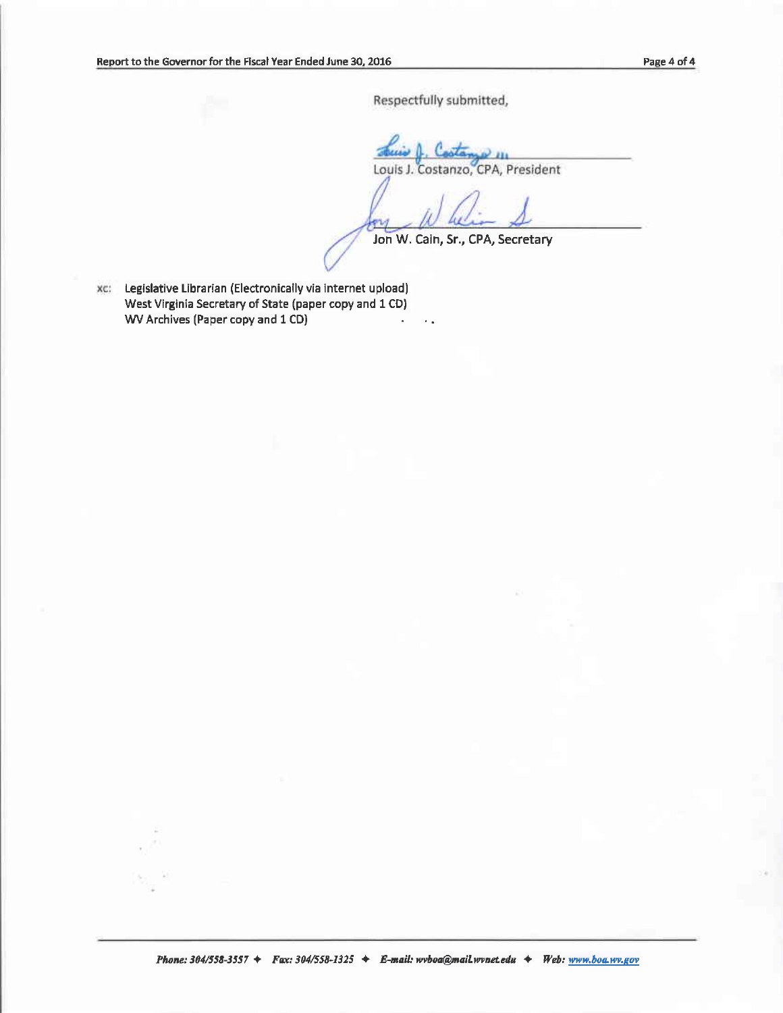Respectfully submitted,

FV)

**Chair & Coolange III**<br>Louis J. Costanzo, CPA, President

Jon W. Cain, Sr., CPA, Secretary

٠.

Legislative Librarian (Electronically via internet upload) West Virginia Secretary of State (paper copy and 1 CD) WV Archives (Paper copy and 1 CD)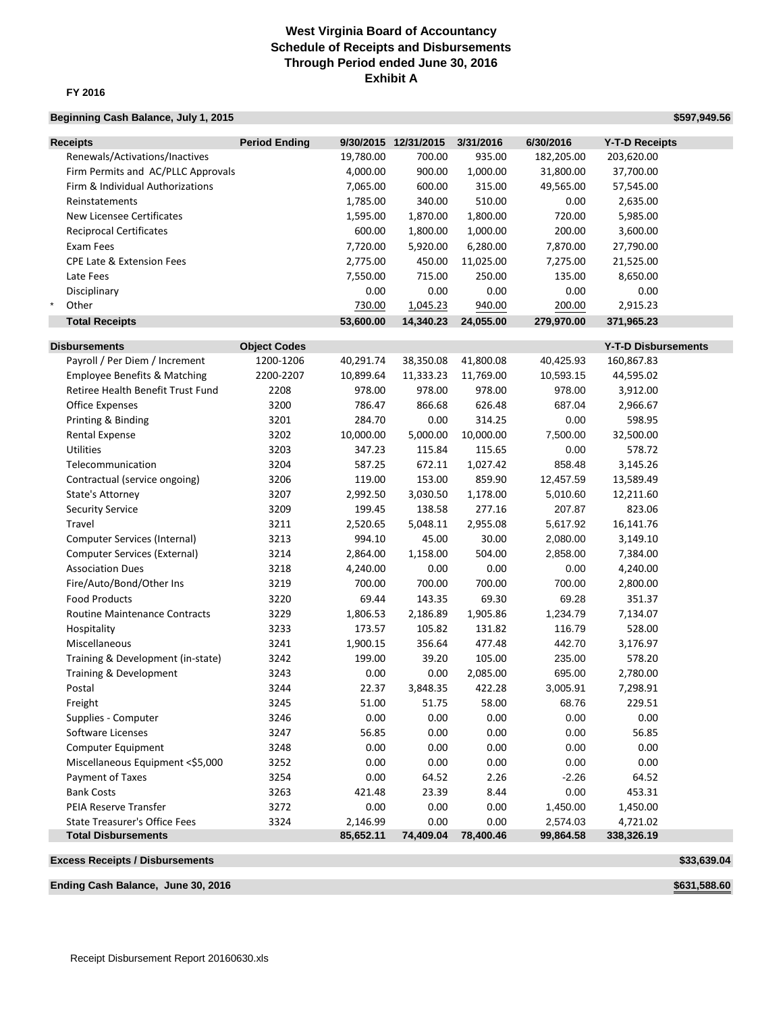### **Exhibit A West Virginia Board of Accountancy Schedule of Receipts and Disbursements Through Period ended June 30, 2016**

### **FY 2016**

### **Beginning Cash Balance, July 1, 2015 <b>Beginning Cash Balance, July 1, 2015 \$597,949.56**

| <b>Receipts</b>                         | <b>Period Ending</b> |           | 9/30/2015 12/31/2015 | 3/31/2016 | 6/30/2016  | <b>Y-T-D Receipts</b>      |
|-----------------------------------------|----------------------|-----------|----------------------|-----------|------------|----------------------------|
| Renewals/Activations/Inactives          |                      | 19,780.00 | 700.00               | 935.00    | 182,205.00 | 203,620.00                 |
| Firm Permits and AC/PLLC Approvals      |                      | 4,000.00  | 900.00               | 1,000.00  | 31,800.00  | 37,700.00                  |
| Firm & Individual Authorizations        |                      | 7,065.00  | 600.00               | 315.00    | 49,565.00  | 57,545.00                  |
| Reinstatements                          |                      | 1,785.00  | 340.00               | 510.00    | 0.00       | 2,635.00                   |
| New Licensee Certificates               |                      | 1,595.00  | 1,870.00             | 1,800.00  | 720.00     | 5,985.00                   |
| <b>Reciprocal Certificates</b>          |                      | 600.00    | 1,800.00             | 1,000.00  | 200.00     | 3,600.00                   |
| Exam Fees                               |                      | 7,720.00  | 5,920.00             | 6,280.00  | 7,870.00   | 27,790.00                  |
| <b>CPE Late &amp; Extension Fees</b>    |                      | 2,775.00  | 450.00               | 11,025.00 | 7,275.00   | 21,525.00                  |
| Late Fees                               |                      | 7,550.00  | 715.00               | 250.00    | 135.00     | 8,650.00                   |
|                                         |                      | 0.00      | 0.00                 | 0.00      | 0.00       | 0.00                       |
| Disciplinary<br>$\star$                 |                      |           |                      |           | 200.00     |                            |
| Other                                   |                      | 730.00    | 1,045.23             | 940.00    |            | 2,915.23                   |
| <b>Total Receipts</b>                   |                      | 53,600.00 | 14,340.23            | 24,055.00 | 279,970.00 | 371,965.23                 |
| <b>Disbursements</b>                    | <b>Object Codes</b>  |           |                      |           |            | <b>Y-T-D Disbursements</b> |
| Payroll / Per Diem / Increment          | 1200-1206            | 40,291.74 | 38,350.08            | 41,800.08 | 40,425.93  | 160,867.83                 |
| <b>Employee Benefits &amp; Matching</b> | 2200-2207            | 10,899.64 | 11,333.23            | 11,769.00 | 10,593.15  | 44,595.02                  |
| Retiree Health Benefit Trust Fund       | 2208                 | 978.00    | 978.00               | 978.00    | 978.00     | 3,912.00                   |
| <b>Office Expenses</b>                  | 3200                 | 786.47    | 866.68               | 626.48    | 687.04     | 2,966.67                   |
| Printing & Binding                      | 3201                 | 284.70    | 0.00                 | 314.25    | 0.00       | 598.95                     |
| Rental Expense                          | 3202                 | 10,000.00 | 5,000.00             | 10,000.00 | 7,500.00   | 32,500.00                  |
| <b>Utilities</b>                        | 3203                 | 347.23    | 115.84               | 115.65    | 0.00       | 578.72                     |
| Telecommunication                       | 3204                 | 587.25    | 672.11               |           | 858.48     |                            |
|                                         |                      |           |                      | 1,027.42  |            | 3,145.26                   |
| Contractual (service ongoing)           | 3206                 | 119.00    | 153.00               | 859.90    | 12,457.59  | 13,589.49                  |
| State's Attorney                        | 3207                 | 2,992.50  | 3,030.50             | 1,178.00  | 5,010.60   | 12,211.60                  |
| <b>Security Service</b>                 | 3209                 | 199.45    | 138.58               | 277.16    | 207.87     | 823.06                     |
| Travel                                  | 3211                 | 2,520.65  | 5,048.11             | 2,955.08  | 5,617.92   | 16,141.76                  |
| Computer Services (Internal)            | 3213                 | 994.10    | 45.00                | 30.00     | 2,080.00   | 3,149.10                   |
| Computer Services (External)            | 3214                 | 2,864.00  | 1,158.00             | 504.00    | 2,858.00   | 7,384.00                   |
| <b>Association Dues</b>                 | 3218                 | 4,240.00  | 0.00                 | 0.00      | 0.00       | 4,240.00                   |
| Fire/Auto/Bond/Other Ins                | 3219                 | 700.00    | 700.00               | 700.00    | 700.00     | 2,800.00                   |
| <b>Food Products</b>                    | 3220                 | 69.44     | 143.35               | 69.30     | 69.28      | 351.37                     |
| Routine Maintenance Contracts           | 3229                 | 1,806.53  | 2,186.89             | 1,905.86  | 1,234.79   | 7,134.07                   |
| Hospitality                             | 3233                 | 173.57    | 105.82               | 131.82    | 116.79     | 528.00                     |
| Miscellaneous                           | 3241                 | 1,900.15  | 356.64               | 477.48    | 442.70     | 3,176.97                   |
| Training & Development (in-state)       | 3242                 | 199.00    | 39.20                | 105.00    | 235.00     | 578.20                     |
| Training & Development                  | 3243                 | 0.00      | 0.00                 | 2,085.00  | 695.00     | 2,780.00                   |
| Postal                                  | 3244                 | 22.37     | 3,848.35             | 422.28    | 3,005.91   | 7,298.91                   |
| Freight                                 | 3245                 | 51.00     | 51.75                | 58.00     | 68.76      | 229.51                     |
| Supplies - Computer                     | 3246                 | 0.00      | 0.00                 | 0.00      | 0.00       | 0.00                       |
| Software Licenses                       | 3247                 | 56.85     | 0.00                 | 0.00      | 0.00       | 56.85                      |
| <b>Computer Equipment</b>               | 3248                 | 0.00      | 0.00                 | 0.00      | 0.00       | 0.00                       |
| Miscellaneous Equipment <\$5,000        | 3252                 | 0.00      | 0.00                 | 0.00      | 0.00       | 0.00                       |
| Payment of Taxes                        | 3254                 | 0.00      | 64.52                | 2.26      | $-2.26$    | 64.52                      |
| <b>Bank Costs</b>                       | 3263                 | 421.48    | 23.39                | 8.44      | 0.00       | 453.31                     |
| PEIA Reserve Transfer                   | 3272                 | 0.00      | 0.00                 | 0.00      | 1,450.00   | 1,450.00                   |
| <b>State Treasurer's Office Fees</b>    | 3324                 | 2,146.99  | 0.00                 | 0.00      | 2,574.03   | 4,721.02                   |
| <b>Total Disbursements</b>              |                      | 85,652.11 | 74,409.04            | 78,400.46 | 99,864.58  | 338,326.19                 |
|                                         |                      |           |                      |           |            |                            |
| <b>Excess Receipts / Disbursements</b>  |                      |           |                      |           |            | \$33,639.04                |

**Ending Cash Balance, June 30, 2016 \$631,588.60 \$631,588.60**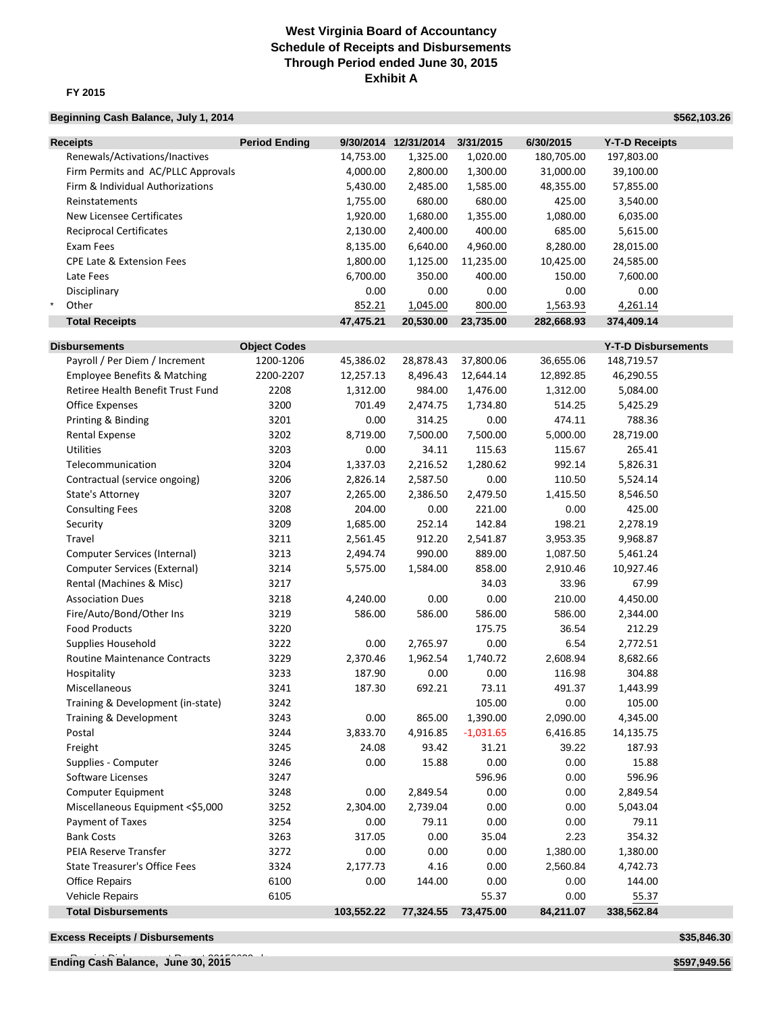### **West Virginia Board of Accountancy Schedule of Receipts and Disbursements Through Period ended June 30, 2015 Exhibit A**

### **FY 2015**

### **Beginning Cash Balance, July 1, 2014 <b>All 2016 All 2016 <b>All 2016 All 2016 \$562,103.26**

| <b>Receipts</b>                         | <b>Period Ending</b> |            | 9/30/2014 12/31/2014 | 3/31/2015   | 6/30/2015  | <b>Y-T-D Receipts</b>      |  |
|-----------------------------------------|----------------------|------------|----------------------|-------------|------------|----------------------------|--|
| Renewals/Activations/Inactives          |                      | 14,753.00  | 1,325.00             | 1,020.00    | 180,705.00 | 197,803.00                 |  |
| Firm Permits and AC/PLLC Approvals      |                      | 4,000.00   | 2,800.00             | 1,300.00    | 31,000.00  | 39,100.00                  |  |
| Firm & Individual Authorizations        |                      | 5,430.00   | 2,485.00             | 1,585.00    | 48,355.00  | 57,855.00                  |  |
| Reinstatements                          |                      | 1,755.00   | 680.00               | 680.00      | 425.00     | 3,540.00                   |  |
| <b>New Licensee Certificates</b>        |                      | 1,920.00   | 1,680.00             | 1,355.00    | 1,080.00   | 6,035.00                   |  |
| <b>Reciprocal Certificates</b>          |                      | 2,130.00   | 2,400.00             | 400.00      | 685.00     | 5,615.00                   |  |
| Exam Fees                               |                      | 8,135.00   | 6,640.00             | 4,960.00    | 8,280.00   | 28,015.00                  |  |
| <b>CPE Late &amp; Extension Fees</b>    |                      | 1,800.00   | 1,125.00             | 11,235.00   | 10,425.00  | 24,585.00                  |  |
| Late Fees                               |                      | 6,700.00   | 350.00               | 400.00      | 150.00     | 7,600.00                   |  |
| Disciplinary                            |                      | 0.00       | 0.00                 | 0.00        | 0.00       | 0.00                       |  |
| $\star$<br>Other                        |                      | 852.21     | 1,045.00             | 800.00      | 1,563.93   | 4,261.14                   |  |
| <b>Total Receipts</b>                   |                      | 47,475.21  | 20,530.00            | 23,735.00   | 282,668.93 | 374,409.14                 |  |
|                                         |                      |            |                      |             |            |                            |  |
| <b>Disbursements</b>                    | <b>Object Codes</b>  |            |                      |             |            | <b>Y-T-D Disbursements</b> |  |
| Payroll / Per Diem / Increment          | 1200-1206            | 45,386.02  | 28,878.43            | 37,800.06   | 36,655.06  | 148,719.57                 |  |
| <b>Employee Benefits &amp; Matching</b> | 2200-2207            | 12,257.13  | 8,496.43             | 12,644.14   | 12,892.85  | 46,290.55                  |  |
| Retiree Health Benefit Trust Fund       | 2208                 | 1,312.00   | 984.00               | 1,476.00    | 1,312.00   | 5,084.00                   |  |
| Office Expenses                         | 3200                 | 701.49     | 2,474.75             | 1,734.80    | 514.25     | 5,425.29                   |  |
| Printing & Binding                      | 3201                 | 0.00       | 314.25               | 0.00        | 474.11     | 788.36                     |  |
| Rental Expense                          | 3202                 | 8,719.00   | 7,500.00             | 7,500.00    | 5,000.00   | 28,719.00                  |  |
| <b>Utilities</b>                        | 3203                 | 0.00       | 34.11                | 115.63      | 115.67     | 265.41                     |  |
| Telecommunication                       | 3204                 | 1,337.03   | 2,216.52             | 1,280.62    | 992.14     | 5,826.31                   |  |
| Contractual (service ongoing)           | 3206                 | 2,826.14   | 2,587.50             | 0.00        | 110.50     | 5,524.14                   |  |
| State's Attorney                        | 3207                 | 2,265.00   | 2,386.50             | 2,479.50    | 1,415.50   | 8,546.50                   |  |
| <b>Consulting Fees</b>                  | 3208                 | 204.00     | 0.00                 | 221.00      | 0.00       | 425.00                     |  |
| Security                                | 3209                 | 1,685.00   | 252.14               | 142.84      | 198.21     | 2,278.19                   |  |
| Travel                                  | 3211                 | 2,561.45   | 912.20               | 2,541.87    | 3,953.35   | 9,968.87                   |  |
| Computer Services (Internal)            | 3213                 | 2,494.74   | 990.00               | 889.00      | 1,087.50   | 5,461.24                   |  |
| <b>Computer Services (External)</b>     | 3214                 | 5,575.00   | 1,584.00             | 858.00      | 2,910.46   | 10,927.46                  |  |
| Rental (Machines & Misc)                | 3217                 |            |                      | 34.03       | 33.96      | 67.99                      |  |
| <b>Association Dues</b>                 | 3218                 | 4,240.00   | 0.00                 | 0.00        | 210.00     | 4,450.00                   |  |
| Fire/Auto/Bond/Other Ins                | 3219                 | 586.00     | 586.00               | 586.00      | 586.00     | 2,344.00                   |  |
| <b>Food Products</b>                    | 3220                 |            |                      | 175.75      | 36.54      | 212.29                     |  |
| Supplies Household                      | 3222                 | 0.00       | 2,765.97             | 0.00        | 6.54       | 2,772.51                   |  |
| Routine Maintenance Contracts           | 3229                 | 2,370.46   | 1,962.54             | 1,740.72    | 2,608.94   | 8,682.66                   |  |
| Hospitality                             | 3233                 | 187.90     | 0.00                 | 0.00        | 116.98     | 304.88                     |  |
| Miscellaneous                           | 3241                 | 187.30     | 692.21               | 73.11       | 491.37     | 1,443.99                   |  |
| Training & Development (in-state)       | 3242                 |            |                      | 105.00      | 0.00       | 105.00                     |  |
| Training & Development                  | 3243                 | 0.00       | 865.00               | 1,390.00    | 2,090.00   | 4,345.00                   |  |
| Postal                                  | 3244                 | 3,833.70   | 4,916.85             | $-1,031.65$ | 6,416.85   | 14,135.75                  |  |
| Freight                                 | 3245                 | 24.08      | 93.42                | 31.21       | 39.22      | 187.93                     |  |
| Supplies - Computer                     | 3246                 | 0.00       | 15.88                | 0.00        | 0.00       | 15.88                      |  |
| Software Licenses                       | 3247                 |            |                      | 596.96      | 0.00       | 596.96                     |  |
| Computer Equipment                      | 3248                 | 0.00       | 2,849.54             | 0.00        | 0.00       | 2,849.54                   |  |
| Miscellaneous Equipment <\$5,000        | 3252                 | 2,304.00   | 2,739.04             | 0.00        | 0.00       | 5,043.04                   |  |
| Payment of Taxes                        | 3254                 | 0.00       | 79.11                | 0.00        | 0.00       | 79.11                      |  |
| <b>Bank Costs</b>                       | 3263                 | 317.05     | 0.00                 | 35.04       | 2.23       | 354.32                     |  |
| PEIA Reserve Transfer                   | 3272                 | 0.00       | 0.00                 | 0.00        | 1,380.00   | 1,380.00                   |  |
| <b>State Treasurer's Office Fees</b>    | 3324                 | 2,177.73   | 4.16                 | 0.00        | 2,560.84   | 4,742.73                   |  |
| <b>Office Repairs</b>                   | 6100                 | 0.00       | 144.00               | 0.00        | 0.00       | 144.00                     |  |
| Vehicle Repairs                         | 6105                 |            |                      | 55.37       | 0.00       | 55.37                      |  |
| <b>Total Disbursements</b>              |                      | 103,552.22 | 77,324.55            | 73,475.00   | 84,211.07  | 338,562.84                 |  |

**Excess Receipts / Disbursements \$35,846.30** 

Receipt Disbursement Report 20150630.xls **Ending Cash Balance, June 30, 2015 \$597,949.56**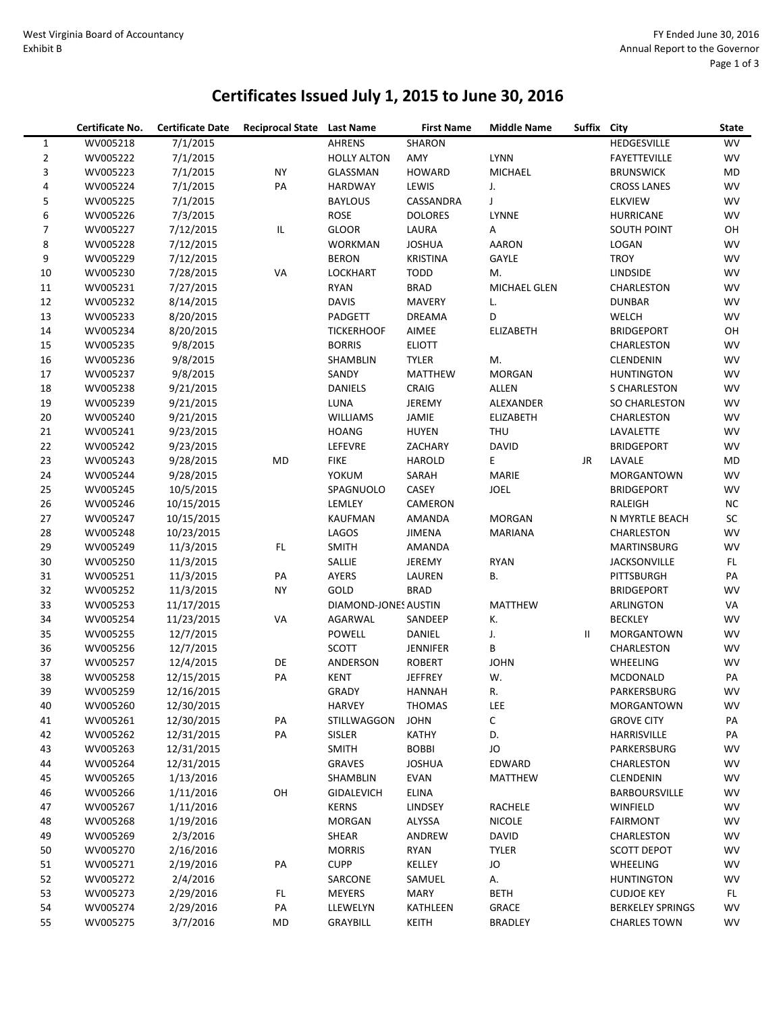## **Certificates Issued July 1, 2015 to June 30, 2016**

|                          | Certificate No. | <b>Certificate Date</b> | Reciprocal State Last Name |                      | <b>First Name</b>             | <b>Middle Name</b> | Suffix | City                      | <b>State</b> |
|--------------------------|-----------------|-------------------------|----------------------------|----------------------|-------------------------------|--------------------|--------|---------------------------|--------------|
| $\mathbf{1}$             | WV005218        | 7/1/2015                |                            | <b>AHRENS</b>        | SHARON                        |                    |        | HEDGESVILLE               | <b>WV</b>    |
| $\overline{2}$           | WV005222        | 7/1/2015                |                            | <b>HOLLY ALTON</b>   | AMY                           | LYNN               |        | <b>FAYETTEVILLE</b>       | <b>WV</b>    |
| 3                        | WV005223        | 7/1/2015                | <b>NY</b>                  | GLASSMAN             | <b>HOWARD</b>                 | MICHAEL            |        | <b>BRUNSWICK</b>          | MD           |
| $\sqrt{4}$               | WV005224        | 7/1/2015                | PA                         | HARDWAY              | LEWIS                         | J.                 |        | <b>CROSS LANES</b>        | WV           |
| 5                        | WV005225        | 7/1/2015                |                            | <b>BAYLOUS</b>       | CASSANDRA                     | J                  |        | <b>ELKVIEW</b>            | WV           |
| 6                        | WV005226        | 7/3/2015                |                            | ROSE                 | <b>DOLORES</b>                | LYNNE              |        | <b>HURRICANE</b>          | WV           |
| $\overline{\phantom{a}}$ | WV005227        | 7/12/2015               | IL                         | <b>GLOOR</b>         | LAURA                         | Α                  |        | <b>SOUTH POINT</b>        | OH           |
| 8                        | WV005228        | 7/12/2015               |                            | <b>WORKMAN</b>       | <b>JOSHUA</b>                 | <b>AARON</b>       |        | LOGAN                     | <b>WV</b>    |
| 9                        | WV005229        | 7/12/2015               |                            | <b>BERON</b>         | <b>KRISTINA</b>               | GAYLE              |        | <b>TROY</b>               | WV           |
| 10                       | WV005230        | 7/28/2015               | VA                         | <b>LOCKHART</b>      | <b>TODD</b>                   | M.                 |        | <b>LINDSIDE</b>           | WV           |
| 11                       | WV005231        | 7/27/2015               |                            | <b>RYAN</b>          | <b>BRAD</b>                   | MICHAEL GLEN       |        | CHARLESTON                | WV           |
| 12                       | WV005232        | 8/14/2015               |                            | <b>DAVIS</b>         | <b>MAVERY</b>                 | L.                 |        | <b>DUNBAR</b>             | WV           |
| 13                       | WV005233        | 8/20/2015               |                            | PADGETT              | <b>DREAMA</b>                 | D                  |        | WELCH                     | WV           |
| 14                       | WV005234        | 8/20/2015               |                            | <b>TICKERHOOF</b>    | AIMEE                         | <b>ELIZABETH</b>   |        | <b>BRIDGEPORT</b>         | OH           |
| 15                       | WV005235        | 9/8/2015                |                            | <b>BORRIS</b>        | <b>ELIOTT</b>                 |                    |        | CHARLESTON                | WV           |
| 16                       | WV005236        | 9/8/2015                |                            | SHAMBLIN             | <b>TYLER</b>                  | M.                 |        | <b>CLENDENIN</b>          | <b>WV</b>    |
| 17                       | WV005237        | 9/8/2015                |                            | SANDY                | <b>MATTHEW</b>                | MORGAN             |        | <b>HUNTINGTON</b>         | WV           |
| 18                       | WV005238        | 9/21/2015               |                            | <b>DANIELS</b>       | CRAIG                         | ALLEN              |        | S CHARLESTON              | <b>WV</b>    |
| 19                       | WV005239        | 9/21/2015               |                            | LUNA                 | JEREMY                        | ALEXANDER          |        | SO CHARLESTON             | WV           |
| 20                       | WV005240        | 9/21/2015               |                            | <b>WILLIAMS</b>      | JAMIE                         | <b>ELIZABETH</b>   |        | CHARLESTON                | WV           |
| 21                       | WV005241        | 9/23/2015               |                            | <b>HOANG</b>         | <b>HUYEN</b>                  | <b>THU</b>         |        | LAVALETTE                 | WV           |
| 22                       | WV005242        | 9/23/2015               |                            | LEFEVRE              | ZACHARY                       | <b>DAVID</b>       |        | <b>BRIDGEPORT</b>         | WV           |
| 23                       | WV005243        | 9/28/2015               | <b>MD</b>                  | <b>FIKE</b>          | <b>HAROLD</b>                 | E                  | JR     | LAVALE                    | MD           |
| 24                       | WV005244        | 9/28/2015               |                            | YOKUM                | SARAH                         | MARIE              |        | MORGANTOWN                | WV           |
| 25                       | WV005245        | 10/5/2015               |                            | SPAGNUOLO            | CASEY                         | <b>JOEL</b>        |        | <b>BRIDGEPORT</b>         | WV           |
| 26                       | WV005246        | 10/15/2015              |                            | LEMLEY               | CAMERON                       |                    |        | RALEIGH                   | <b>NC</b>    |
| 27                       | WV005247        | 10/15/2015              |                            | <b>KAUFMAN</b>       | AMANDA                        | <b>MORGAN</b>      |        | N MYRTLE BEACH            | SC           |
| 28                       | WV005248        | 10/23/2015              |                            | LAGOS                | <b>JIMENA</b>                 | <b>MARIANA</b>     |        | CHARLESTON                | WV           |
| 29                       | WV005249        | 11/3/2015               | FL.                        | <b>SMITH</b>         | AMANDA                        |                    |        | MARTINSBURG               | WV           |
| 30                       | WV005250        | 11/3/2015               |                            | SALLIE               | JEREMY                        | <b>RYAN</b>        |        | <b>JACKSONVILLE</b>       | FL.          |
| 31                       | WV005251        | 11/3/2015               | PA                         | AYERS                | LAUREN                        | В.                 |        | PITTSBURGH                | PA           |
| 32                       | WV005252        | 11/3/2015               | <b>NY</b>                  | <b>GOLD</b>          | <b>BRAD</b>                   |                    |        | <b>BRIDGEPORT</b>         | WV           |
| 33                       | WV005253        | 11/17/2015              |                            | DIAMOND-JONES AUSTIN |                               | <b>MATTHEW</b>     |        | <b>ARLINGTON</b>          | VA           |
| 34                       | WV005254        | 11/23/2015              | VA                         | AGARWAL              | SANDEEP                       | К.                 |        | <b>BECKLEY</b>            | WV           |
| 35                       | WV005255        | 12/7/2015               |                            | POWELL               | DANIEL                        | J.                 | Ш      | <b>MORGANTOWN</b>         | WV           |
| 36                       | WV005256        | 12/7/2015               |                            | SCOTT                | <b>JENNIFER</b>               | В                  |        | CHARLESTON                | WV           |
| 37                       | WV005257        | 12/4/2015               | DE                         | ANDERSON             | <b>ROBERT</b>                 | <b>JOHN</b>        |        | WHEELING                  | WV           |
| 38                       | WV005258        | 12/15/2015              | PA                         | <b>KENT</b>          | <b>JEFFREY</b>                | W.                 |        | <b>MCDONALD</b>           | PA           |
| 39                       | WV005259        | 12/16/2015              |                            | GRADY                | <b>HANNAH</b>                 | R.                 |        | PARKERSBURG               | <b>WV</b>    |
| 40                       | WV005260        | 12/30/2015              |                            | <b>HARVEY</b>        | <b>THOMAS</b>                 | LEE                |        | MORGANTOWN                | WV           |
| 41                       | WV005261        | 12/30/2015              | PA                         | STILLWAGGON          | <b>JOHN</b>                   | С                  |        | <b>GROVE CITY</b>         | PA           |
| 42                       | WV005262        | 12/31/2015              | PA                         | <b>SISLER</b>        | KATHY                         | D.                 |        | HARRISVILLE               | PA           |
| 43                       | WV005263        | 12/31/2015              |                            |                      |                               | JO                 |        |                           |              |
|                          | WV005264        | 12/31/2015              |                            | SMITH                | <b>BOBBI</b><br><b>JOSHUA</b> | EDWARD             |        | PARKERSBURG<br>CHARLESTON | WV<br>WV     |
| 44<br>45                 | WV005265        |                         |                            | GRAVES               |                               |                    |        | <b>CLENDENIN</b>          |              |
|                          |                 | 1/13/2016               |                            | SHAMBLIN             | <b>EVAN</b>                   | MATTHEW            |        |                           | WV           |
| 46                       | WV005266        | 1/11/2016               | OH                         | <b>GIDALEVICH</b>    | <b>ELINA</b>                  |                    |        | BARBOURSVILLE             | WV           |
| 47                       | WV005267        | 1/11/2016               |                            | <b>KERNS</b>         | <b>LINDSEY</b>                | RACHELE            |        | WINFIELD                  | WV           |
| 48                       | WV005268        | 1/19/2016               |                            | <b>MORGAN</b>        | ALYSSA                        | <b>NICOLE</b>      |        | <b>FAIRMONT</b>           | WV           |
| 49                       | WV005269        | 2/3/2016                |                            | SHEAR                | ANDREW                        | <b>DAVID</b>       |        | CHARLESTON                | WV           |
| 50                       | WV005270        | 2/16/2016               |                            | <b>MORRIS</b>        | RYAN                          | <b>TYLER</b>       |        | <b>SCOTT DEPOT</b>        | WV           |
| 51                       | WV005271        | 2/19/2016               | PA                         | <b>CUPP</b>          | KELLEY                        | JO                 |        | WHEELING                  | WV           |
| 52                       | WV005272        | 2/4/2016                |                            | SARCONE              | SAMUEL                        | А.                 |        | <b>HUNTINGTON</b>         | WV           |
| 53                       | WV005273        | 2/29/2016               | FL.                        | <b>MEYERS</b>        | <b>MARY</b>                   | <b>BETH</b>        |        | <b>CUDJOE KEY</b>         | FL.          |
| 54                       | WV005274        | 2/29/2016               | PA                         | LLEWELYN             | KATHLEEN                      | <b>GRACE</b>       |        | <b>BERKELEY SPRINGS</b>   | WV           |
| 55                       | WV005275        | 3/7/2016                | MD                         | GRAYBILL             | KEITH                         | BRADLEY            |        | <b>CHARLES TOWN</b>       | WV           |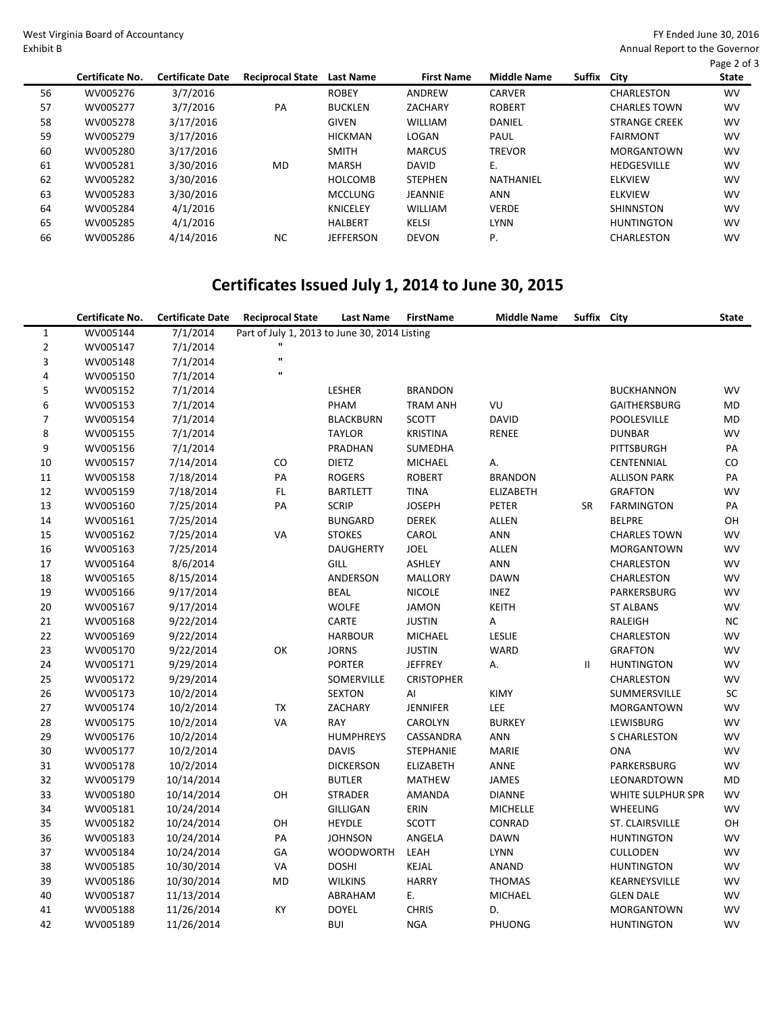West Virginia Board of A Exhibit B

Annual Report to the Governor

| ccountancy |  |  |  |
|------------|--|--|--|
|            |  |  |  |

|    |                 |                         |                         |                  |                   |                    |        |                      | Page 2 of 3  |
|----|-----------------|-------------------------|-------------------------|------------------|-------------------|--------------------|--------|----------------------|--------------|
|    | Certificate No. | <b>Certificate Date</b> | <b>Reciprocal State</b> | <b>Last Name</b> | <b>First Name</b> | <b>Middle Name</b> | Suffix | City                 | <b>State</b> |
| 56 | WV005276        | 3/7/2016                |                         | <b>ROBEY</b>     | ANDREW            | <b>CARVER</b>      |        | CHARLESTON           | <b>WV</b>    |
| 57 | WV005277        | 3/7/2016                | PA                      | <b>BUCKLEN</b>   | ZACHARY           | <b>ROBERT</b>      |        | <b>CHARLES TOWN</b>  | <b>WV</b>    |
| 58 | WV005278        | 3/17/2016               |                         | <b>GIVEN</b>     | <b>WILLIAM</b>    | DANIEL             |        | <b>STRANGE CREEK</b> | <b>WV</b>    |
| 59 | WV005279        | 3/17/2016               |                         | <b>HICKMAN</b>   | LOGAN             | PAUL               |        | <b>FAIRMONT</b>      | <b>WV</b>    |
| 60 | WV005280        | 3/17/2016               |                         | <b>SMITH</b>     | <b>MARCUS</b>     | <b>TREVOR</b>      |        | <b>MORGANTOWN</b>    | <b>WV</b>    |
| 61 | WV005281        | 3/30/2016               | MD                      | <b>MARSH</b>     | <b>DAVID</b>      | Ε.                 |        | <b>HEDGESVILLE</b>   | <b>WV</b>    |
| 62 | WV005282        | 3/30/2016               |                         | <b>HOLCOMB</b>   | <b>STEPHEN</b>    | NATHANIEL          |        | <b>ELKVIEW</b>       | <b>WV</b>    |
| 63 | WV005283        | 3/30/2016               |                         | <b>MCCLUNG</b>   | <b>JEANNIE</b>    | ANN                |        | <b>ELKVIEW</b>       | <b>WV</b>    |
| 64 | WV005284        | 4/1/2016                |                         | <b>KNICELEY</b>  | <b>WILLIAM</b>    | <b>VERDE</b>       |        | <b>SHINNSTON</b>     | <b>WV</b>    |
| 65 | WV005285        | 4/1/2016                |                         | <b>HALBERT</b>   | <b>KELSI</b>      | <b>LYNN</b>        |        | <b>HUNTINGTON</b>    | <b>WV</b>    |
| 66 | WV005286        | 4/14/2016               | <b>NC</b>               | <b>JEFFERSON</b> | <b>DEVON</b>      | Ρ.                 |        | CHARLESTON           | <b>WV</b>    |

# **Certificates Issued July 1, 2014 to June 30, 2015**

|                | Certificate No. | <b>Certificate Date</b> | <b>Reciprocal State</b>                       | <b>Last Name</b> | <b>FirstName</b>  | <b>Middle Name</b> | Suffix City |                     | <b>State</b> |
|----------------|-----------------|-------------------------|-----------------------------------------------|------------------|-------------------|--------------------|-------------|---------------------|--------------|
| $\mathbf{1}$   | WV005144        | 7/1/2014                | Part of July 1, 2013 to June 30, 2014 Listing |                  |                   |                    |             |                     |              |
| $\overline{2}$ | WV005147        | 7/1/2014                | п                                             |                  |                   |                    |             |                     |              |
| 3              | WV005148        | 7/1/2014                | $\mathbf{u}$                                  |                  |                   |                    |             |                     |              |
| $\pmb{4}$      | WV005150        | 7/1/2014                | $\mathbf{u}$                                  |                  |                   |                    |             |                     |              |
| 5              | WV005152        | 7/1/2014                |                                               | LESHER           | <b>BRANDON</b>    |                    |             | <b>BUCKHANNON</b>   | WV           |
| 6              | WV005153        | 7/1/2014                |                                               | PHAM             | <b>TRAM ANH</b>   | VU                 |             | <b>GAITHERSBURG</b> | MD           |
| $\overline{7}$ | WV005154        | 7/1/2014                |                                               | <b>BLACKBURN</b> | <b>SCOTT</b>      | <b>DAVID</b>       |             | POOLESVILLE         | MD           |
| 8              | WV005155        | 7/1/2014                |                                               | <b>TAYLOR</b>    | <b>KRISTINA</b>   | RENEE              |             | <b>DUNBAR</b>       | <b>WV</b>    |
| 9              | WV005156        | 7/1/2014                |                                               | PRADHAN          | SUMEDHA           |                    |             | PITTSBURGH          | PA           |
| 10             | WV005157        | 7/14/2014               | CO                                            | <b>DIETZ</b>     | <b>MICHAEL</b>    | А.                 |             | CENTENNIAL          | CO           |
| 11             | WV005158        | 7/18/2014               | PA                                            | <b>ROGERS</b>    | <b>ROBERT</b>     | <b>BRANDON</b>     |             | <b>ALLISON PARK</b> | PA           |
| 12             | WV005159        | 7/18/2014               | $\mathsf{FL}$                                 | <b>BARTLETT</b>  | <b>TINA</b>       | <b>ELIZABETH</b>   |             | <b>GRAFTON</b>      | WV           |
| 13             | WV005160        | 7/25/2014               | PA                                            | <b>SCRIP</b>     | <b>JOSEPH</b>     | PETER              | SR          | <b>FARMINGTON</b>   | PA           |
| 14             | WV005161        | 7/25/2014               |                                               | <b>BUNGARD</b>   | <b>DEREK</b>      | ALLEN              |             | <b>BELPRE</b>       | OH           |
| 15             | WV005162        | 7/25/2014               | VA                                            | <b>STOKES</b>    | CAROL             | ANN                |             | <b>CHARLES TOWN</b> | WV           |
| 16             | WV005163        | 7/25/2014               |                                               | <b>DAUGHERTY</b> | JOEL              | <b>ALLEN</b>       |             | MORGANTOWN          | WV           |
| 17             | WV005164        | 8/6/2014                |                                               | GILL             | <b>ASHLEY</b>     | ANN                |             | CHARLESTON          | WV           |
| 18             | WV005165        | 8/15/2014               |                                               | ANDERSON         | <b>MALLORY</b>    | <b>DAWN</b>        |             | CHARLESTON          | WV           |
| 19             | WV005166        | 9/17/2014               |                                               | <b>BEAL</b>      | <b>NICOLE</b>     | INEZ               |             | PARKERSBURG         | <b>WV</b>    |
| 20             | WV005167        | 9/17/2014               |                                               | <b>WOLFE</b>     | <b>JAMON</b>      | KEITH              |             | <b>ST ALBANS</b>    | WV           |
| 21             | WV005168        | 9/22/2014               |                                               | CARTE            | <b>JUSTIN</b>     | А                  |             | <b>RALEIGH</b>      | <b>NC</b>    |
| 22             | WV005169        | 9/22/2014               |                                               | <b>HARBOUR</b>   | MICHAEL           | LESLIE             |             | CHARLESTON          | WV           |
| 23             | WV005170        | 9/22/2014               | OK                                            | <b>JORNS</b>     | <b>JUSTIN</b>     | WARD               |             | <b>GRAFTON</b>      | WV           |
| 24             | WV005171        | 9/29/2014               |                                               | <b>PORTER</b>    | <b>JEFFREY</b>    | А.                 | Ш           | <b>HUNTINGTON</b>   | WV           |
| 25             | WV005172        | 9/29/2014               |                                               | SOMERVILLE       | <b>CRISTOPHER</b> |                    |             | CHARLESTON          | WV           |
| 26             | WV005173        | 10/2/2014               |                                               | <b>SEXTON</b>    | AI                | KIMY               |             | SUMMERSVILLE        | SC           |
| 27             | WV005174        | 10/2/2014               | TX                                            | ZACHARY          | <b>JENNIFER</b>   | LEE                |             | <b>MORGANTOWN</b>   | WV           |
| 28             | WV005175        | 10/2/2014               | VA                                            | RAY              | CAROLYN           | <b>BURKEY</b>      |             | LEWISBURG           | WV           |
| 29             | WV005176        | 10/2/2014               |                                               | <b>HUMPHREYS</b> | CASSANDRA         | <b>ANN</b>         |             | <b>S CHARLESTON</b> | WV           |
| 30             | WV005177        | 10/2/2014               |                                               | <b>DAVIS</b>     | <b>STEPHANIE</b>  | <b>MARIE</b>       |             | <b>ONA</b>          | WV           |
| 31             | WV005178        | 10/2/2014               |                                               | <b>DICKERSON</b> | <b>ELIZABETH</b>  | ANNE               |             | PARKERSBURG         | WV           |
| 32             | WV005179        | 10/14/2014              |                                               | <b>BUTLER</b>    | <b>MATHEW</b>     | <b>JAMES</b>       |             | LEONARDTOWN         | MD           |
| 33             | WV005180        | 10/14/2014              | OH                                            | <b>STRADER</b>   | AMANDA            | <b>DIANNE</b>      |             | WHITE SULPHUR SPR   | WV           |
| 34             | WV005181        | 10/24/2014              |                                               | GILLIGAN         | ERIN              | <b>MICHELLE</b>    |             | <b>WHEELING</b>     | WV           |
| 35             | WV005182        | 10/24/2014              | OH                                            | <b>HEYDLE</b>    | <b>SCOTT</b>      | CONRAD             |             | ST. CLAIRSVILLE     | OH           |
| 36             | WV005183        | 10/24/2014              | PA                                            | <b>JOHNSON</b>   | ANGELA            | <b>DAWN</b>        |             | <b>HUNTINGTON</b>   | WV           |
| 37             | WV005184        | 10/24/2014              | GA                                            | <b>WOODWORTH</b> | LEAH              | <b>LYNN</b>        |             | <b>CULLODEN</b>     | <b>WV</b>    |
| 38             | WV005185        | 10/30/2014              | VA                                            | <b>DOSHI</b>     | KEJAL             | ANAND              |             | <b>HUNTINGTON</b>   | WV           |
| 39             | WV005186        | 10/30/2014              | MD                                            | <b>WILKINS</b>   | <b>HARRY</b>      | <b>THOMAS</b>      |             | KEARNEYSVILLE       | <b>WV</b>    |
| 40             | WV005187        | 11/13/2014              |                                               | ABRAHAM          | Ε.                | MICHAEL            |             | <b>GLEN DALE</b>    | WV           |
| 41             | WV005188        | 11/26/2014              | KY                                            | <b>DOYEL</b>     | <b>CHRIS</b>      | D.                 |             | <b>MORGANTOWN</b>   | <b>WV</b>    |
| 42             | WV005189        | 11/26/2014              |                                               | <b>BUI</b>       | <b>NGA</b>        | PHUONG             |             | <b>HUNTINGTON</b>   | <b>WV</b>    |

FY Ended June 30, 2016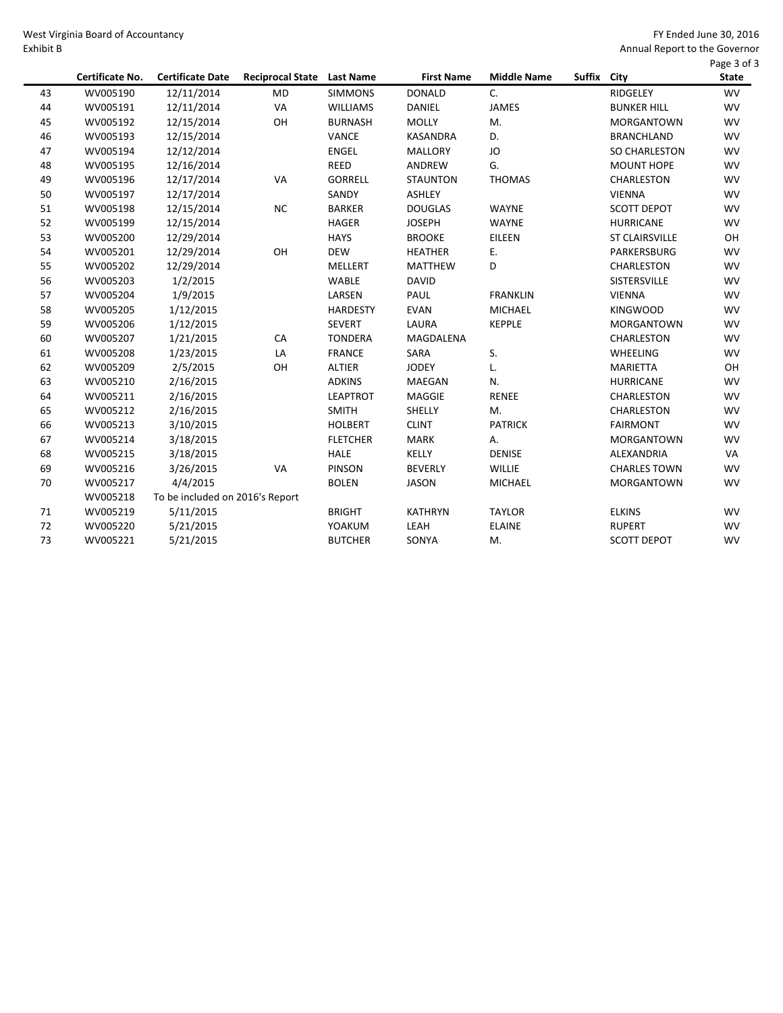West Virginia Board of Accountancy Exhibit B

|    | Certificate No. | <b>Certificate Date</b>         | <b>Reciprocal State</b> | <b>Last Name</b> | <b>First Name</b> | <b>Middle Name</b> | Suffix City |                       | Page 3 of 3<br><b>State</b> |
|----|-----------------|---------------------------------|-------------------------|------------------|-------------------|--------------------|-------------|-----------------------|-----------------------------|
| 43 | WV005190        | 12/11/2014                      | <b>MD</b>               | <b>SIMMONS</b>   | <b>DONALD</b>     | C.                 |             | <b>RIDGELEY</b>       | <b>WV</b>                   |
| 44 | WV005191        | 12/11/2014                      | VA                      | <b>WILLIAMS</b>  | <b>DANIEL</b>     | <b>JAMES</b>       |             | <b>BUNKER HILL</b>    | <b>WV</b>                   |
| 45 | WV005192        | 12/15/2014                      | OH                      | <b>BURNASH</b>   | <b>MOLLY</b>      | M.                 |             | <b>MORGANTOWN</b>     | <b>WV</b>                   |
| 46 | WV005193        | 12/15/2014                      |                         | VANCE            | <b>KASANDRA</b>   | D.                 |             | <b>BRANCHLAND</b>     | <b>WV</b>                   |
| 47 | WV005194        | 12/12/2014                      |                         | <b>ENGEL</b>     | <b>MALLORY</b>    | JO                 |             | <b>SO CHARLESTON</b>  | <b>WV</b>                   |
| 48 | WV005195        | 12/16/2014                      |                         | <b>REED</b>      | ANDREW            | G.                 |             | <b>MOUNT HOPE</b>     | <b>WV</b>                   |
| 49 | WV005196        | 12/17/2014                      | VA                      | <b>GORRELL</b>   | <b>STAUNTON</b>   | <b>THOMAS</b>      |             | <b>CHARLESTON</b>     | <b>WV</b>                   |
| 50 | WV005197        | 12/17/2014                      |                         | SANDY            | <b>ASHLEY</b>     |                    |             | <b>VIENNA</b>         | <b>WV</b>                   |
| 51 | WV005198        | 12/15/2014                      | <b>NC</b>               | <b>BARKER</b>    | <b>DOUGLAS</b>    | <b>WAYNE</b>       |             | <b>SCOTT DEPOT</b>    | <b>WV</b>                   |
| 52 | WV005199        | 12/15/2014                      |                         | <b>HAGER</b>     | <b>JOSEPH</b>     | <b>WAYNE</b>       |             | <b>HURRICANE</b>      | <b>WV</b>                   |
| 53 | WV005200        | 12/29/2014                      |                         | <b>HAYS</b>      | <b>BROOKE</b>     | EILEEN             |             | <b>ST CLAIRSVILLE</b> | OH                          |
| 54 | WV005201        | 12/29/2014                      | OH                      | <b>DEW</b>       | <b>HEATHER</b>    | Ε.                 |             | PARKERSBURG           | <b>WV</b>                   |
| 55 | WV005202        | 12/29/2014                      |                         | <b>MELLERT</b>   | <b>MATTHEW</b>    | D                  |             | CHARLESTON            | <b>WV</b>                   |
| 56 | WV005203        | 1/2/2015                        |                         | WABLE            | <b>DAVID</b>      |                    |             | <b>SISTERSVILLE</b>   | <b>WV</b>                   |
| 57 | WV005204        | 1/9/2015                        |                         | LARSEN           | PAUL              | <b>FRANKLIN</b>    |             | <b>VIENNA</b>         | <b>WV</b>                   |
| 58 | WV005205        | 1/12/2015                       |                         | <b>HARDESTY</b>  | <b>EVAN</b>       | <b>MICHAEL</b>     |             | <b>KINGWOOD</b>       | <b>WV</b>                   |
| 59 | WV005206        | 1/12/2015                       |                         | <b>SEVERT</b>    | LAURA             | <b>KEPPLE</b>      |             | <b>MORGANTOWN</b>     | <b>WV</b>                   |
| 60 | WV005207        | 1/21/2015                       | CA                      | <b>TONDERA</b>   | MAGDALENA         |                    |             | <b>CHARLESTON</b>     | <b>WV</b>                   |
| 61 | WV005208        | 1/23/2015                       | LA                      | <b>FRANCE</b>    | SARA              | S.                 |             | <b>WHEELING</b>       | <b>WV</b>                   |
| 62 | WV005209        | 2/5/2015                        | OH                      | <b>ALTIER</b>    | <b>JODEY</b>      | L.                 |             | <b>MARIETTA</b>       | OH                          |
| 63 | WV005210        | 2/16/2015                       |                         | <b>ADKINS</b>    | MAEGAN            | N.                 |             | <b>HURRICANE</b>      | <b>WV</b>                   |
| 64 | WV005211        | 2/16/2015                       |                         | <b>LEAPTROT</b>  | MAGGIE            | <b>RENEE</b>       |             | CHARLESTON            | <b>WV</b>                   |
| 65 | WV005212        | 2/16/2015                       |                         | <b>SMITH</b>     | SHELLY            | M.                 |             | <b>CHARLESTON</b>     | <b>WV</b>                   |
| 66 | WV005213        | 3/10/2015                       |                         | <b>HOLBERT</b>   | <b>CLINT</b>      | <b>PATRICK</b>     |             | <b>FAIRMONT</b>       | <b>WV</b>                   |
| 67 | WV005214        | 3/18/2015                       |                         | <b>FLETCHER</b>  | <b>MARK</b>       | А.                 |             | <b>MORGANTOWN</b>     | <b>WV</b>                   |
| 68 | WV005215        | 3/18/2015                       |                         | <b>HALE</b>      | KELLY             | <b>DENISE</b>      |             | <b>ALEXANDRIA</b>     | VA                          |
| 69 | WV005216        | 3/26/2015                       | VA                      | <b>PINSON</b>    | <b>BEVERLY</b>    | <b>WILLIE</b>      |             | <b>CHARLES TOWN</b>   | <b>WV</b>                   |
| 70 | WV005217        | 4/4/2015                        |                         | <b>BOLEN</b>     | <b>JASON</b>      | <b>MICHAEL</b>     |             | <b>MORGANTOWN</b>     | <b>WV</b>                   |
|    | WV005218        | To be included on 2016's Report |                         |                  |                   |                    |             |                       |                             |
| 71 | WV005219        | 5/11/2015                       |                         | <b>BRIGHT</b>    | <b>KATHRYN</b>    | <b>TAYLOR</b>      |             | <b>ELKINS</b>         | <b>WV</b>                   |
| 72 | WV005220        | 5/21/2015                       |                         | YOAKUM           | LEAH              | <b>ELAINE</b>      |             | <b>RUPERT</b>         | <b>WV</b>                   |
| 73 | WV005221        | 5/21/2015                       |                         | <b>BUTCHER</b>   | SONYA             | M.                 |             | <b>SCOTT DEPOT</b>    | <b>WV</b>                   |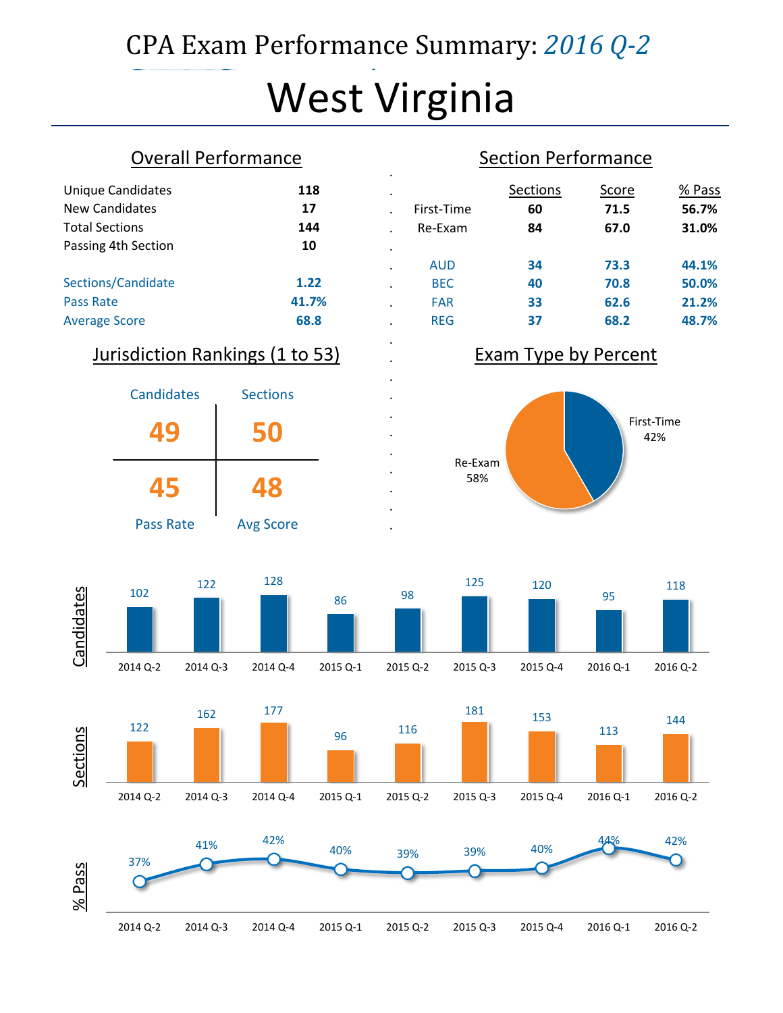# CPA Exam Performance Summary: *2016 Q-2*

# $\overline{\mathbf{M}}$ West Virginia

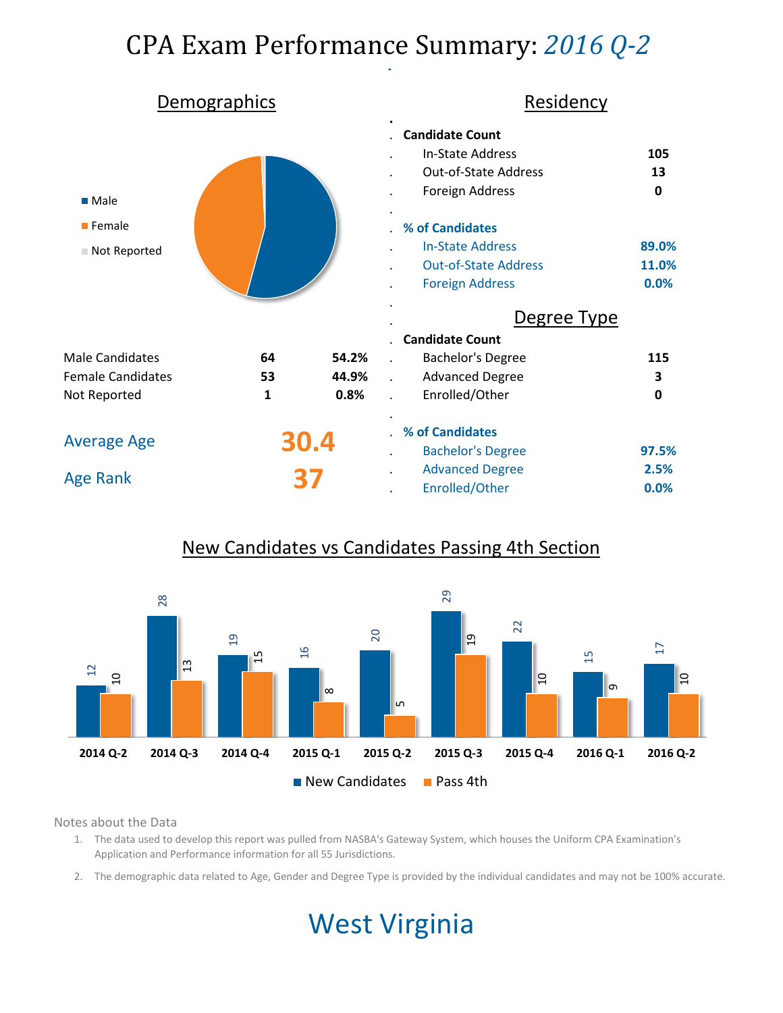# CPA Exam Performance Summary: *2016 Q-2*

|                                                              | Demographics |       | Residency                                                                                                                                                                                           |                                          |
|--------------------------------------------------------------|--------------|-------|-----------------------------------------------------------------------------------------------------------------------------------------------------------------------------------------------------|------------------------------------------|
| $\blacksquare$ Male<br>$\blacksquare$ Female<br>Not Reported |              |       | <b>Candidate Count</b><br><b>In-State Address</b><br>Out-of-State Address<br>Foreign Address<br>% of Candidates<br><b>In-State Address</b><br><b>Out-of-State Address</b><br><b>Foreign Address</b> | 105<br>13<br>0<br>89.0%<br>11.0%<br>0.0% |
|                                                              |              |       | Degree Type                                                                                                                                                                                         |                                          |
|                                                              |              |       | <b>Candidate Count</b>                                                                                                                                                                              |                                          |
| <b>Male Candidates</b>                                       | 64           | 54.2% | <b>Bachelor's Degree</b>                                                                                                                                                                            | 115                                      |
| <b>Female Candidates</b>                                     | 53           | 44.9% | <b>Advanced Degree</b>                                                                                                                                                                              | 3                                        |
| Not Reported                                                 | 1            | 0.8%  | Enrolled/Other                                                                                                                                                                                      | $\mathbf 0$                              |
| <b>Average Age</b>                                           |              | 30.4  | % of Candidates<br><b>Bachelor's Degree</b>                                                                                                                                                         | 97.5%                                    |
|                                                              |              |       | <b>Advanced Degree</b>                                                                                                                                                                              | 2.5%                                     |
| <b>Age Rank</b>                                              |              |       | Enrolled/Other                                                                                                                                                                                      | 0.0%                                     |

## New Candidates vs Candidates Passing 4th Section



Notes about the Data

- 1. The data used to develop this report was pulled from NASBA's Gateway System, which houses the Uniform CPA Examination's Application and Performance information for all 55 Jurisdictions.
- 2. The demographic data related to Age, Gender and Degree Type is provided by the individual candidates and may not be 100% accurate.

# West Virginia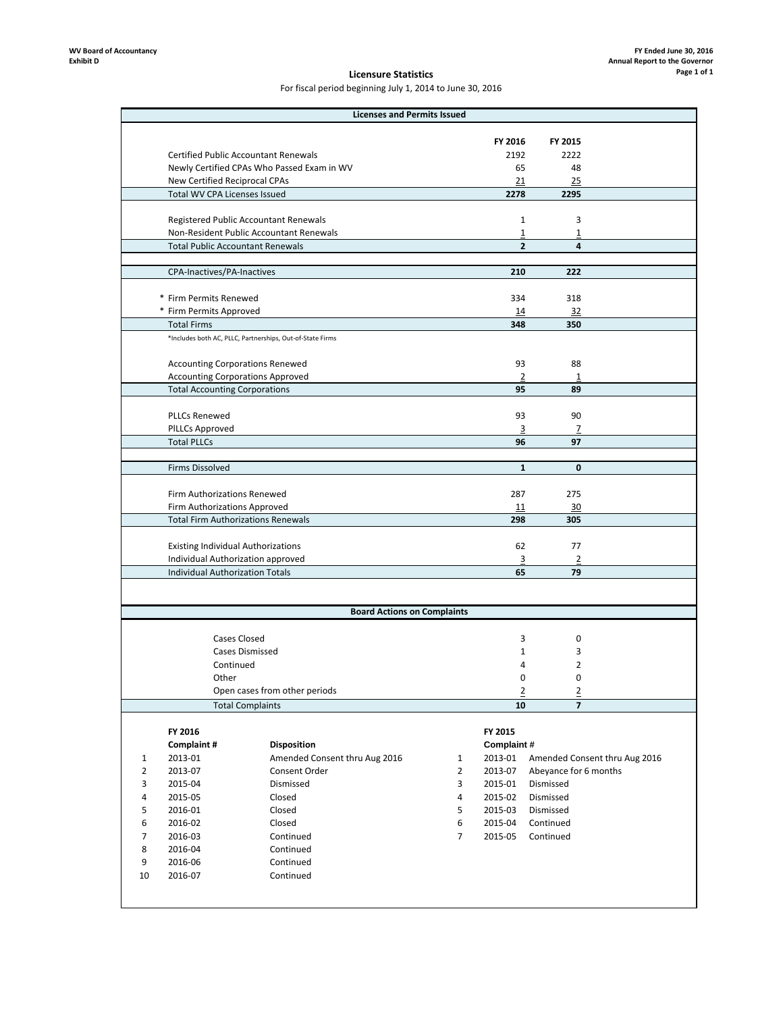### **Licensure Statistics**

For fiscal period beginning July 1, 2014 to June 30, 2016

|                |                                           | <b>Licenses and Permits Issued</b>                        |   |                |                       |                               |
|----------------|-------------------------------------------|-----------------------------------------------------------|---|----------------|-----------------------|-------------------------------|
|                |                                           |                                                           |   |                |                       |                               |
|                |                                           |                                                           |   | FY 2016        | FY 2015               |                               |
|                |                                           | <b>Certified Public Accountant Renewals</b>               |   | 2192           | 2222                  |                               |
|                |                                           | Newly Certified CPAs Who Passed Exam in WV                |   | 65             | 48                    |                               |
|                | New Certified Reciprocal CPAs             |                                                           |   | 21             | 25                    |                               |
|                | Total WV CPA Licenses Issued              |                                                           |   | 2278           | 2295                  |                               |
|                |                                           |                                                           |   |                |                       |                               |
|                |                                           | Registered Public Accountant Renewals                     |   | $\mathbf{1}$   | 3                     |                               |
|                |                                           | Non-Resident Public Accountant Renewals                   |   | $\overline{1}$ | 1                     |                               |
|                | <b>Total Public Accountant Renewals</b>   |                                                           |   | $\overline{2}$ | 4                     |                               |
|                |                                           |                                                           |   |                |                       |                               |
|                | CPA-Inactives/PA-Inactives                |                                                           |   | 210            | 222                   |                               |
|                |                                           |                                                           |   |                |                       |                               |
|                | * Firm Permits Renewed                    |                                                           |   | 334            | 318                   |                               |
|                | * Firm Permits Approved                   |                                                           |   | 14             | 32                    |                               |
|                | <b>Total Firms</b>                        |                                                           |   | 348            | 350                   |                               |
|                |                                           | *Includes both AC, PLLC, Partnerships, Out-of-State Firms |   |                |                       |                               |
|                |                                           |                                                           |   |                |                       |                               |
|                | <b>Accounting Corporations Renewed</b>    |                                                           |   | 93             | 88                    |                               |
|                | <b>Accounting Corporations Approved</b>   |                                                           |   | $\overline{2}$ | $\overline{1}$        |                               |
|                | <b>Total Accounting Corporations</b>      |                                                           |   | 95             | 89                    |                               |
|                |                                           |                                                           |   |                |                       |                               |
|                | <b>PLLCs Renewed</b>                      |                                                           |   | 93             | 90                    |                               |
|                | <b>PILLCs Approved</b>                    |                                                           |   | 3              | Z<br>97               |                               |
|                | <b>Total PLLCs</b>                        |                                                           |   | 96             |                       |                               |
|                |                                           |                                                           |   | $\mathbf{1}$   | 0                     |                               |
|                | Firms Dissolved                           |                                                           |   |                |                       |                               |
|                | Firm Authorizations Renewed               |                                                           |   | 287            | 275                   |                               |
|                | Firm Authorizations Approved              |                                                           |   | 11             | 30                    |                               |
|                | <b>Total Firm Authorizations Renewals</b> |                                                           |   | 298            | 305                   |                               |
|                |                                           |                                                           |   |                |                       |                               |
|                | <b>Existing Individual Authorizations</b> |                                                           |   | 62             | 77                    |                               |
|                | Individual Authorization approved         |                                                           |   | 3              | $\overline{2}$        |                               |
|                | <b>Individual Authorization Totals</b>    |                                                           |   | 65             | 79                    |                               |
|                |                                           |                                                           |   |                |                       |                               |
|                |                                           |                                                           |   |                |                       |                               |
|                |                                           | <b>Board Actions on Complaints</b>                        |   |                |                       |                               |
|                |                                           |                                                           |   |                |                       |                               |
|                | Cases Closed                              |                                                           |   | 3              | 0                     |                               |
|                |                                           | <b>Cases Dismissed</b>                                    |   | $\mathbf{1}$   | 3                     |                               |
|                | Continued                                 |                                                           |   | 4              | 2                     |                               |
|                | Other                                     |                                                           |   | 0              | 0                     |                               |
|                |                                           | Open cases from other periods                             |   | $\overline{2}$ | $\overline{2}$        |                               |
|                |                                           | <b>Total Complaints</b>                                   |   | 10             | 7                     |                               |
|                |                                           |                                                           |   |                |                       |                               |
|                | FY 2016                                   |                                                           |   | FY 2015        |                       |                               |
|                | Complaint#                                | <b>Disposition</b>                                        |   | Complaint#     |                       |                               |
| 1              | 2013-01                                   | Amended Consent thru Aug 2016                             | 1 | 2013-01        |                       | Amended Consent thru Aug 2016 |
| $\overline{2}$ | 2013-07                                   | Consent Order                                             | 2 | 2013-07        | Abeyance for 6 months |                               |
| 3              | 2015-04                                   | Dismissed                                                 | 3 | 2015-01        | Dismissed             |                               |
| 4              | 2015-05                                   | Closed                                                    | 4 | 2015-02        | Dismissed             |                               |
| 5              | 2016-01                                   | Closed                                                    | 5 | 2015-03        | Dismissed             |                               |
| 6              | 2016-02                                   | Closed                                                    | 6 | 2015-04        | Continued             |                               |
| 7              | 2016-03                                   | Continued                                                 | 7 | 2015-05        | Continued             |                               |
| 8              | 2016-04                                   | Continued                                                 |   |                |                       |                               |
| 9              | 2016-06                                   | Continued                                                 |   |                |                       |                               |
| 10             | 2016-07                                   | Continued                                                 |   |                |                       |                               |
|                |                                           |                                                           |   |                |                       |                               |
|                |                                           |                                                           |   |                |                       |                               |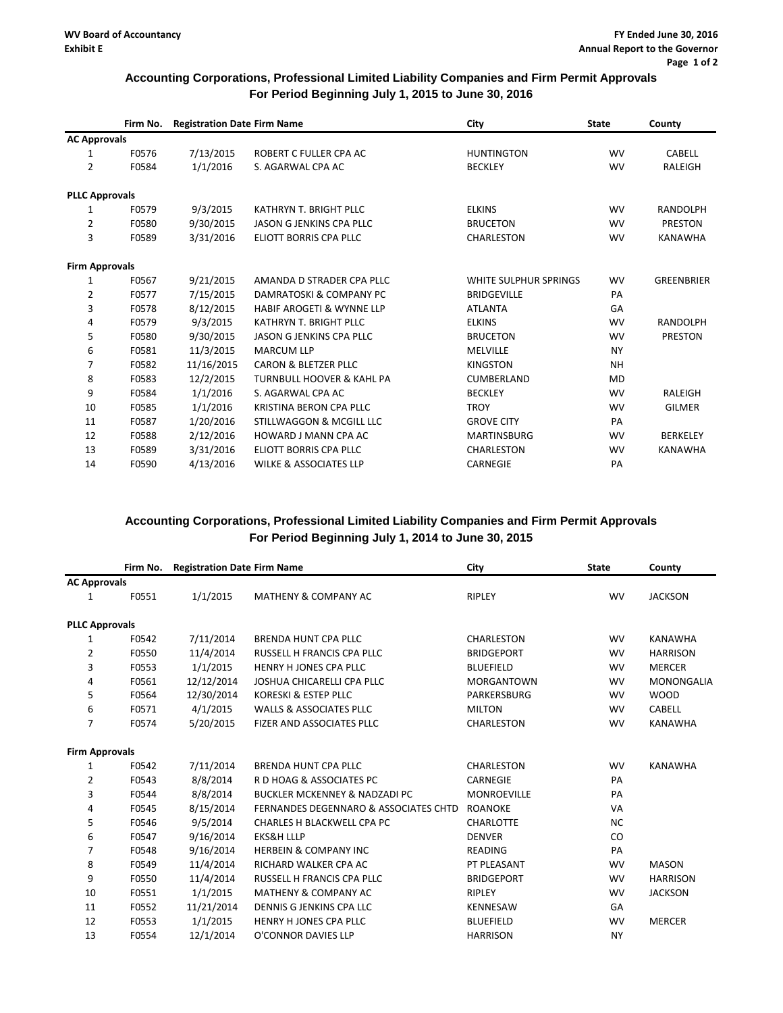### **Accounting Corporations, Professional Limited Liability Companies and Firm Permit Approvals For Period Beginning July 1, 2015 to June 30, 2016**

|                       | Firm No. | <b>Registration Date Firm Name</b> |                                      | City                  | <b>State</b> | County            |
|-----------------------|----------|------------------------------------|--------------------------------------|-----------------------|--------------|-------------------|
| <b>AC Approvals</b>   |          |                                    |                                      |                       |              |                   |
| 1                     | F0576    | 7/13/2015                          | ROBERT C FULLER CPA AC               | <b>HUNTINGTON</b>     | <b>WV</b>    | <b>CABELL</b>     |
| $\overline{2}$        | F0584    | 1/1/2016                           | S. AGARWAL CPA AC                    | <b>BECKLEY</b>        | <b>WV</b>    | <b>RALEIGH</b>    |
| <b>PLLC Approvals</b> |          |                                    |                                      |                       |              |                   |
| 1                     | F0579    | 9/3/2015                           | KATHRYN T. BRIGHT PLLC               | <b>ELKINS</b>         | <b>WV</b>    | <b>RANDOLPH</b>   |
| $\overline{2}$        | F0580    | 9/30/2015                          | JASON G JENKINS CPA PLLC             | <b>BRUCETON</b>       | <b>WV</b>    | <b>PRESTON</b>    |
| 3                     | F0589    | 3/31/2016                          | ELIOTT BORRIS CPA PLLC               | CHARLESTON            | <b>WV</b>    | <b>KANAWHA</b>    |
| <b>Firm Approvals</b> |          |                                    |                                      |                       |              |                   |
| 1                     | F0567    | 9/21/2015                          | AMANDA D STRADER CPA PLLC            | WHITE SULPHUR SPRINGS | <b>WV</b>    | <b>GREENBRIER</b> |
| 2                     | F0577    | 7/15/2015                          | DAMRATOSKI & COMPANY PC              | <b>BRIDGEVILLE</b>    | PA           |                   |
| 3                     | F0578    | 8/12/2015                          | <b>HABIF AROGETI &amp; WYNNE LLP</b> | <b>ATLANTA</b>        | GA           |                   |
| 4                     | F0579    | 9/3/2015                           | KATHRYN T. BRIGHT PLLC               | <b>ELKINS</b>         | <b>WV</b>    | <b>RANDOLPH</b>   |
| 5                     | F0580    | 9/30/2015                          | JASON G JENKINS CPA PLLC             | <b>BRUCETON</b>       | <b>WV</b>    | <b>PRESTON</b>    |
| 6                     | F0581    | 11/3/2015                          | <b>MARCUM LLP</b>                    | <b>MELVILLE</b>       | <b>NY</b>    |                   |
| 7                     | F0582    | 11/16/2015                         | CARON & BLETZER PLLC                 | <b>KINGSTON</b>       | <b>NH</b>    |                   |
| 8                     | F0583    | 12/2/2015                          | <b>TURNBULL HOOVER &amp; KAHL PA</b> | <b>CUMBERLAND</b>     | <b>MD</b>    |                   |
| 9                     | F0584    | 1/1/2016                           | S. AGARWAL CPA AC                    | <b>BECKLEY</b>        | <b>WV</b>    | <b>RALEIGH</b>    |
| 10                    | F0585    | 1/1/2016                           | KRISTINA BERON CPA PLLC              | <b>TROY</b>           | <b>WV</b>    | <b>GILMER</b>     |
| 11                    | F0587    | 1/20/2016                          | STILLWAGGON & MCGILL LLC             | <b>GROVE CITY</b>     | PA           |                   |
| 12                    | F0588    | 2/12/2016                          | <b>HOWARD J MANN CPA AC</b>          | <b>MARTINSBURG</b>    | <b>WV</b>    | <b>BERKELEY</b>   |
| 13                    | F0589    | 3/31/2016                          | ELIOTT BORRIS CPA PLLC               | <b>CHARLESTON</b>     | <b>WV</b>    | <b>KANAWHA</b>    |
| 14                    | F0590    | 4/13/2016                          | <b>WILKE &amp; ASSOCIATES LLP</b>    | <b>CARNEGIE</b>       | PA           |                   |

### **Accounting Corporations, Professional Limited Liability Companies and Firm Permit Approvals For Period Beginning July 1, 2014 to June 30, 2015**

| Firm No.              |            |                                                  | City                               | <b>State</b> | County            |
|-----------------------|------------|--------------------------------------------------|------------------------------------|--------------|-------------------|
| <b>AC Approvals</b>   |            |                                                  |                                    |              |                   |
| F0551                 | 1/1/2015   | <b>MATHENY &amp; COMPANY AC</b>                  | RIPLEY                             | <b>WV</b>    | <b>JACKSON</b>    |
| <b>PLLC Approvals</b> |            |                                                  |                                    |              |                   |
| F0542                 | 7/11/2014  | <b>BRENDA HUNT CPA PLLC</b>                      | <b>CHARLESTON</b>                  | <b>WV</b>    | <b>KANAWHA</b>    |
| F0550                 | 11/4/2014  | RUSSELL H FRANCIS CPA PLLC                       | <b>BRIDGEPORT</b>                  | <b>WV</b>    | <b>HARRISON</b>   |
| F0553                 | 1/1/2015   | <b>HENRY H JONES CPA PLLC</b>                    | <b>BLUEFIELD</b>                   | <b>WV</b>    | <b>MERCER</b>     |
| F0561                 | 12/12/2014 | JOSHUA CHICARELLI CPA PLLC                       | <b>MORGANTOWN</b>                  | <b>WV</b>    | <b>MONONGALIA</b> |
| F0564                 | 12/30/2014 | KORESKI & ESTEP PLLC                             | PARKERSBURG                        | <b>WV</b>    | <b>WOOD</b>       |
| F0571                 | 4/1/2015   | <b>WALLS &amp; ASSOCIATES PLLC</b>               | <b>MILTON</b>                      | <b>WV</b>    | <b>CABELL</b>     |
| F0574                 | 5/20/2015  | FIZER AND ASSOCIATES PLLC                        | <b>CHARLESTON</b>                  | <b>WV</b>    | <b>KANAWHA</b>    |
| <b>Firm Approvals</b> |            |                                                  |                                    |              |                   |
| F0542                 | 7/11/2014  | <b>BRENDA HUNT CPA PLLC</b>                      | <b>CHARLESTON</b>                  | <b>WV</b>    | <b>KANAWHA</b>    |
| F0543                 | 8/8/2014   | R D HOAG & ASSOCIATES PC                         | <b>CARNEGIE</b>                    | PA           |                   |
| F0544                 | 8/8/2014   | <b>BUCKLER MCKENNEY &amp; NADZADI PC</b>         | <b>MONROEVILLE</b>                 | PA           |                   |
| F0545                 | 8/15/2014  | <b>FERNANDES DEGENNARO &amp; ASSOCIATES CHTD</b> | <b>ROANOKE</b>                     | <b>VA</b>    |                   |
| F0546                 | 9/5/2014   | CHARLES H BLACKWELL CPA PC                       | <b>CHARLOTTE</b>                   | <b>NC</b>    |                   |
| F0547                 | 9/16/2014  | <b>EKS&amp;H LLLP</b>                            | <b>DENVER</b>                      | CO           |                   |
| F0548                 | 9/16/2014  | <b>HERBEIN &amp; COMPANY INC</b>                 | <b>READING</b>                     | PA           |                   |
| F0549                 | 11/4/2014  | RICHARD WALKER CPA AC                            | PT PLEASANT                        | <b>WV</b>    | <b>MASON</b>      |
| F0550                 | 11/4/2014  | RUSSELL H FRANCIS CPA PLLC                       | <b>BRIDGEPORT</b>                  | <b>WV</b>    | <b>HARRISON</b>   |
| F0551                 | 1/1/2015   | <b>MATHENY &amp; COMPANY AC</b>                  | RIPLEY                             | <b>WV</b>    | <b>JACKSON</b>    |
| F0552                 | 11/21/2014 | <b>DENNIS G JENKINS CPA LLC</b>                  | <b>KENNESAW</b>                    | GA           |                   |
| F0553                 | 1/1/2015   | <b>HENRY H JONES CPA PLLC</b>                    | <b>BLUEFIELD</b>                   | <b>WV</b>    | <b>MERCER</b>     |
| F0554                 | 12/1/2014  | O'CONNOR DAVIES LLP                              | <b>HARRISON</b>                    | <b>NY</b>    |                   |
|                       |            |                                                  | <b>Registration Date Firm Name</b> |              |                   |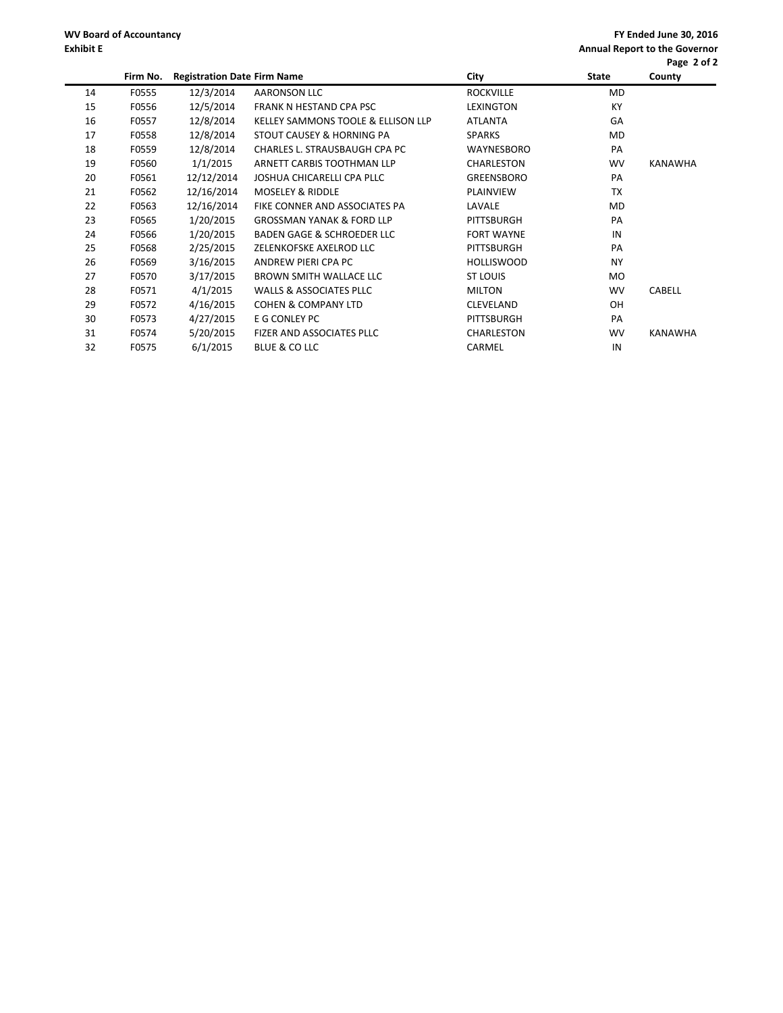**FY Ended June 30, 2016 Annual Report to the Governor Page 2 of 2**

|    |          |                                    |                                       |                   |              | Page 2 or 2    |
|----|----------|------------------------------------|---------------------------------------|-------------------|--------------|----------------|
|    | Firm No. | <b>Registration Date Firm Name</b> |                                       | City              | <b>State</b> | County         |
| 14 | F0555    | 12/3/2014                          | <b>AARONSON LLC</b>                   | <b>ROCKVILLE</b>  | MD           |                |
| 15 | F0556    | 12/5/2014                          | FRANK N HESTAND CPA PSC               | <b>LEXINGTON</b>  | KY           |                |
| 16 | F0557    | 12/8/2014                          | KELLEY SAMMONS TOOLE & ELLISON LLP    | <b>ATLANTA</b>    | GA           |                |
| 17 | F0558    | 12/8/2014                          | STOUT CAUSEY & HORNING PA             | <b>SPARKS</b>     | MD           |                |
| 18 | F0559    | 12/8/2014                          | CHARLES L. STRAUSBAUGH CPA PC         | WAYNESBORO        | PA           |                |
| 19 | F0560    | 1/1/2015                           | ARNETT CARBIS TOOTHMAN LLP            | CHARLESTON        | <b>WV</b>    | <b>KANAWHA</b> |
| 20 | F0561    | 12/12/2014                         | JOSHUA CHICARELLI CPA PLLC            | GREENSBORO        | PA           |                |
| 21 | F0562    | 12/16/2014                         | <b>MOSELEY &amp; RIDDLE</b>           | PLAINVIEW         | ТX           |                |
| 22 | F0563    | 12/16/2014                         | FIKE CONNER AND ASSOCIATES PA         | LAVALE            | MD           |                |
| 23 | F0565    | 1/20/2015                          | <b>GROSSMAN YANAK &amp; FORD LLP</b>  | <b>PITTSBURGH</b> | PA           |                |
| 24 | F0566    | 1/20/2015                          | <b>BADEN GAGE &amp; SCHROEDER LLC</b> | <b>FORT WAYNE</b> | IN           |                |
| 25 | F0568    | 2/25/2015                          | ZELENKOFSKE AXELROD LLC               | PITTSBURGH        | PA           |                |
| 26 | F0569    | 3/16/2015                          | ANDREW PIERI CPA PC                   | <b>HOLLISWOOD</b> | <b>NY</b>    |                |
| 27 | F0570    | 3/17/2015                          | <b>BROWN SMITH WALLACE LLC</b>        | <b>ST LOUIS</b>   | MO.          |                |
| 28 | F0571    | 4/1/2015                           | <b>WALLS &amp; ASSOCIATES PLLC</b>    | <b>MILTON</b>     | <b>WV</b>    | <b>CABELL</b>  |
| 29 | F0572    | 4/16/2015                          | <b>COHEN &amp; COMPANY LTD</b>        | <b>CLEVELAND</b>  | OH.          |                |
| 30 | F0573    | 4/27/2015                          | E G CONLEY PC                         | <b>PITTSBURGH</b> | PA           |                |
| 31 | F0574    | 5/20/2015                          | FIZER AND ASSOCIATES PLLC             | CHARLESTON        | <b>WV</b>    | KANAWHA        |
| 32 | F0575    | 6/1/2015                           | BLUE & CO LLC                         | CARMEL            | IN           |                |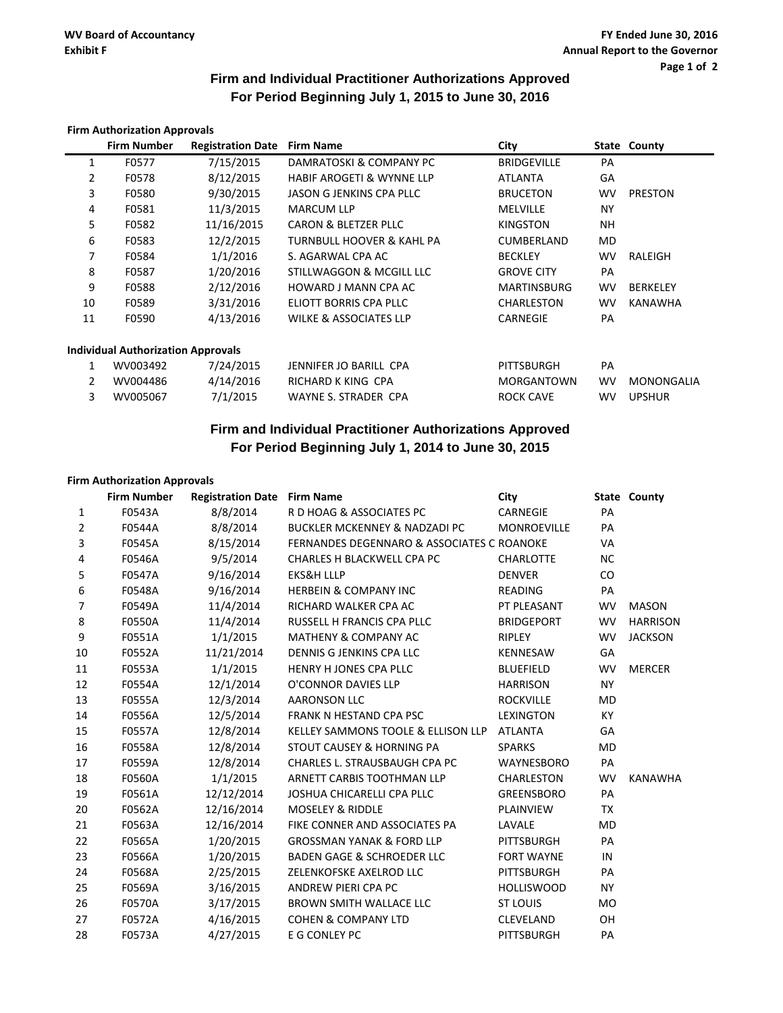### **Firm and Individual Practitioner Authorizations Approved For Period Beginning July 1, 2015 to June 30, 2016**

|    | <b>Firm Authorization Approvals</b>       |                          |                                      |                    |           |                 |
|----|-------------------------------------------|--------------------------|--------------------------------------|--------------------|-----------|-----------------|
|    | <b>Firm Number</b>                        | <b>Registration Date</b> | <b>Firm Name</b>                     | City               |           | State County    |
| 1  | F0577                                     | 7/15/2015                | DAMRATOSKI & COMPANY PC              | <b>BRIDGEVILLE</b> | PA        |                 |
| 2  | F0578                                     | 8/12/2015                | <b>HABIF AROGETI &amp; WYNNE LLP</b> | <b>ATLANTA</b>     | GA        |                 |
| 3  | F0580                                     | 9/30/2015                | JASON G JENKINS CPA PLLC             | <b>BRUCETON</b>    | <b>WV</b> | <b>PRESTON</b>  |
| 4  | F0581                                     | 11/3/2015                | <b>MARCUM LLP</b>                    | <b>MELVILLE</b>    | <b>NY</b> |                 |
| 5  | F0582                                     | 11/16/2015               | CARON & BLETZER PLLC                 | <b>KINGSTON</b>    | <b>NH</b> |                 |
| 6  | F0583                                     | 12/2/2015                | TURNBULL HOOVER & KAHL PA            | CUMBERLAND         | <b>MD</b> |                 |
| 7  | F0584                                     | 1/1/2016                 | S. AGARWAL CPA AC                    | <b>BECKLEY</b>     | <b>WV</b> | RALEIGH         |
| 8  | F0587                                     | 1/20/2016                | STILLWAGGON & MCGILL LLC             | <b>GROVE CITY</b>  | PA        |                 |
| 9  | F0588                                     | 2/12/2016                | HOWARD J MANN CPA AC                 | <b>MARTINSBURG</b> | <b>WV</b> | <b>BERKELEY</b> |
| 10 | F0589                                     | 3/31/2016                | ELIOTT BORRIS CPA PLLC               | CHARLESTON         | <b>WV</b> | KANAWHA         |
| 11 | F0590                                     | 4/13/2016                | <b>WILKE &amp; ASSOCIATES LLP</b>    | <b>CARNEGIE</b>    | PA        |                 |
|    | <b>Individual Authorization Approvals</b> |                          |                                      |                    |           |                 |
|    | WV003492                                  | 7/24/2015                | JENNIFER JO BARILL CPA               | PITTSBURGH         | PA        |                 |
| 2  | WV004486                                  | 4/14/2016                | RICHARD K KING CPA                   | <b>MORGANTOWN</b>  | <b>WV</b> | MONONGALIA      |
| 3  | WV005067                                  | 7/1/2015                 | <b>WAYNE S. STRADER CPA</b>          | <b>ROCK CAVE</b>   | <b>WV</b> | <b>UPSHUR</b>   |

### **Firm and Individual Practitioner Authorizations Approved For Period Beginning July 1, 2014 to June 30, 2015**

### **Firm Authorization Approvals**

|                | <b>Firm Number</b> | <b>Registration Date Firm Name</b> |                                                       | City               |           | State County    |
|----------------|--------------------|------------------------------------|-------------------------------------------------------|--------------------|-----------|-----------------|
| 1              | F0543A             | 8/8/2014                           | R D HOAG & ASSOCIATES PC                              | <b>CARNEGIE</b>    | PA        |                 |
| $\overline{2}$ | F0544A             | 8/8/2014                           | BUCKLER MCKENNEY & NADZADI PC                         | <b>MONROEVILLE</b> | PA        |                 |
| 3              | F0545A             | 8/15/2014                          | <b>FERNANDES DEGENNARO &amp; ASSOCIATES C ROANOKE</b> |                    | <b>VA</b> |                 |
| $\overline{4}$ | F0546A             | 9/5/2014                           | CHARLES H BLACKWELL CPA PC                            | <b>CHARLOTTE</b>   | <b>NC</b> |                 |
| 5              | F0547A             | 9/16/2014                          | <b>EKS&amp;H LLLP</b>                                 | <b>DENVER</b>      | CO        |                 |
| $\,6\,$        | F0548A             | 9/16/2014                          | <b>HERBEIN &amp; COMPANY INC</b>                      | <b>READING</b>     | PA        |                 |
| $\overline{7}$ | F0549A             | 11/4/2014                          | RICHARD WALKER CPA AC                                 | PT PLEASANT        | <b>WV</b> | <b>MASON</b>    |
| 8              | F0550A             | 11/4/2014                          | RUSSELL H FRANCIS CPA PLLC                            | <b>BRIDGEPORT</b>  | <b>WV</b> | <b>HARRISON</b> |
| 9              | F0551A             | 1/1/2015                           | <b>MATHENY &amp; COMPANY AC</b>                       | <b>RIPLEY</b>      | <b>WV</b> | <b>JACKSON</b>  |
| 10             | F0552A             | 11/21/2014                         | DENNIS G JENKINS CPA LLC                              | <b>KENNESAW</b>    | GA        |                 |
| 11             | F0553A             | 1/1/2015                           | HENRY H JONES CPA PLLC                                | <b>BLUEFIELD</b>   | <b>WV</b> | <b>MERCER</b>   |
| 12             | F0554A             | 12/1/2014                          | O'CONNOR DAVIES LLP                                   | <b>HARRISON</b>    | <b>NY</b> |                 |
| 13             | F0555A             | 12/3/2014                          | <b>AARONSON LLC</b>                                   | <b>ROCKVILLE</b>   | <b>MD</b> |                 |
| 14             | F0556A             | 12/5/2014                          | FRANK N HESTAND CPA PSC                               | LEXINGTON          | <b>KY</b> |                 |
| 15             | F0557A             | 12/8/2014                          | KELLEY SAMMONS TOOLE & ELLISON LLP                    | <b>ATLANTA</b>     | GA        |                 |
| 16             | F0558A             | 12/8/2014                          | STOUT CAUSEY & HORNING PA                             | <b>SPARKS</b>      | <b>MD</b> |                 |
| 17             | F0559A             | 12/8/2014                          | CHARLES L. STRAUSBAUGH CPA PC                         | WAYNESBORO         | PA        |                 |
| 18             | F0560A             | 1/1/2015                           | ARNETT CARBIS TOOTHMAN LLP                            | CHARLESTON         | <b>WV</b> | <b>KANAWHA</b>  |
| 19             | F0561A             | 12/12/2014                         | JOSHUA CHICARELLI CPA PLLC                            | GREENSBORO         | PA        |                 |
| 20             | F0562A             | 12/16/2014                         | <b>MOSELEY &amp; RIDDLE</b>                           | PLAINVIEW          | TX        |                 |
| 21             | F0563A             | 12/16/2014                         | FIKE CONNER AND ASSOCIATES PA                         | LAVALE             | <b>MD</b> |                 |
| 22             | F0565A             | 1/20/2015                          | <b>GROSSMAN YANAK &amp; FORD LLP</b>                  | PITTSBURGH         | PA        |                 |
| 23             | F0566A             | 1/20/2015                          | <b>BADEN GAGE &amp; SCHROEDER LLC</b>                 | <b>FORT WAYNE</b>  | IN        |                 |
| 24             | F0568A             | 2/25/2015                          | ZELENKOFSKE AXELROD LLC                               | PITTSBURGH         | PA        |                 |
| 25             | F0569A             | 3/16/2015                          | ANDREW PIERI CPA PC                                   | <b>HOLLISWOOD</b>  | <b>NY</b> |                 |
| 26             | <b>F0570A</b>      | 3/17/2015                          | <b>BROWN SMITH WALLACE LLC</b>                        | <b>ST LOUIS</b>    | <b>MO</b> |                 |
| 27             | F0572A             | 4/16/2015                          | <b>COHEN &amp; COMPANY LTD</b>                        | CLEVELAND          | OH        |                 |
| 28             | F0573A             | 4/27/2015                          | E G CONLEY PC                                         | <b>PITTSBURGH</b>  | PA        |                 |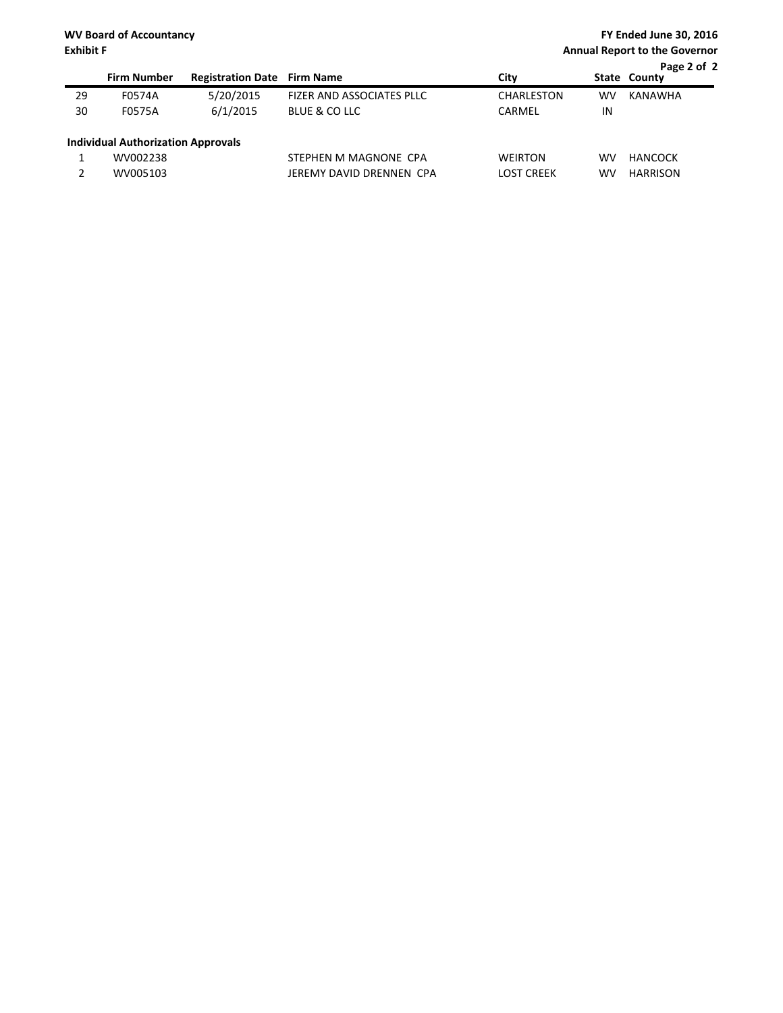|    |                                           |                                    |                           |                   |           | Page 2 of 2     |
|----|-------------------------------------------|------------------------------------|---------------------------|-------------------|-----------|-----------------|
|    | <b>Firm Number</b>                        | <b>Registration Date Firm Name</b> |                           | City              |           | State County    |
| 29 | F0574A                                    | 5/20/2015                          | FIZER AND ASSOCIATES PLLC | <b>CHARLESTON</b> | <b>WV</b> | <b>KANAWHA</b>  |
| 30 | F0575A                                    | 6/1/2015                           | BLUE & CO LLC             | CARMEL            | IN        |                 |
|    | <b>Individual Authorization Approvals</b> |                                    |                           |                   |           |                 |
|    | WV002238                                  |                                    | STEPHEN M MAGNONE CPA     | <b>WEIRTON</b>    | <b>WV</b> | HANCOCK         |
|    | WV005103                                  |                                    | JEREMY DAVID DRENNEN CPA  | <b>LOST CREEK</b> | <b>WV</b> | <b>HARRISON</b> |
|    |                                           |                                    |                           |                   |           |                 |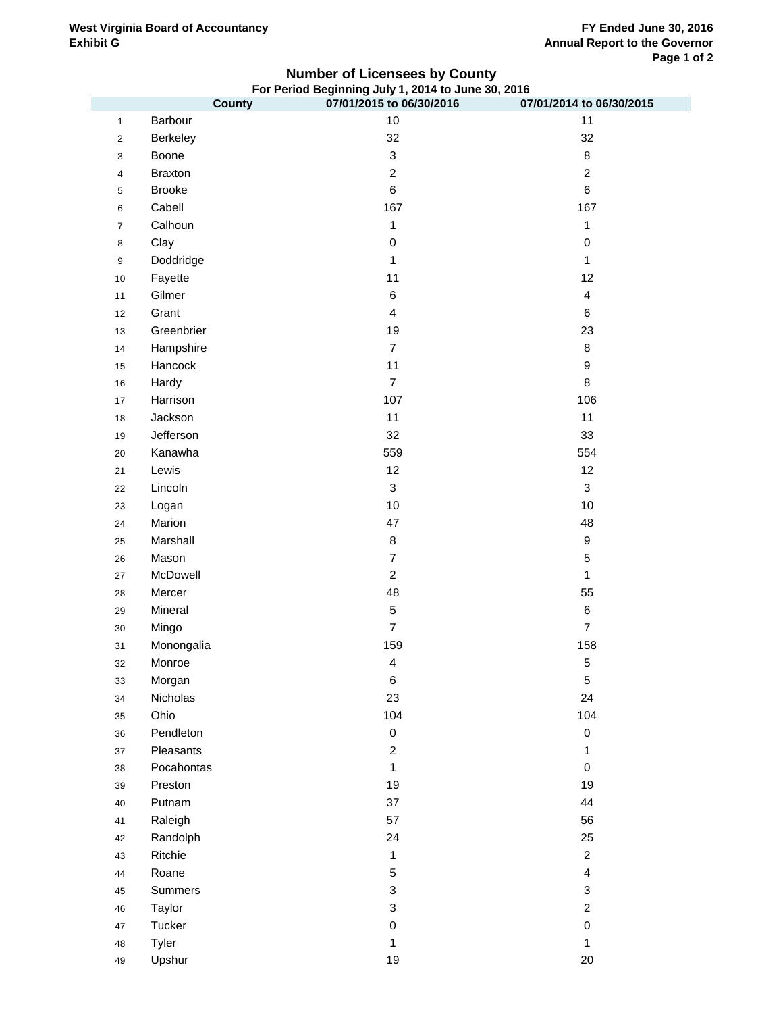### **West Virginia Board of Accountancy Exhibit G**

### **County 07/01/2015 to 06/30/2016 07/01/2014 to 06/30/2015** 1 Barbour 10 10 11 Barbour 10 11 and the set of the set of the set of the set of the set of the set of the set o 2 Berkeley 32 32 32 Boone 3 8 Braxton 2 2 Brooke 6 6 6 Cabell 167 167 167 Calhoun 1 1 Clay 0 0 Doddridge 1 1 Fayette 11 12 11 Gilmer **6 4**  Grant 4 6 Greenbrier 19 23 Hampshire 7 8 Hancock 11 9 Hardy 7 8 17 Harrison 106 **Harrison** 107 106 Jackson 11 11 Jefferson 32 33 20 Kanawha 554 Solar 1980 Solar 1980 Solar 1980 Solar 1980 Solar 1981 Solar 1980 Solar 1980 Solar 19 Lewis 12 12 Lincoln 3 3 Logan 10 10 24 Marion 2012 - 2012 12:30 12:30 12:30 12:30 12:30 12:30 12:30 12:30 12:30 12:30 12:30 12:30 12:30 12:30 12:3 Marshall 8 9 26 Mason 20 September 20 September 20 September 20 September 20 September 20 September 20 September 20 Septemb McDowell 2 1 Mercer 48 55 Mineral 5 6 Mingo 7 7 Monongalia 159 158 Monroe 4 5 Morgan 6 5 Nicholas 23 24 Ohio 104 104 Pendleton 0 0 Pleasants 2 1 Pocahontas 1 0 Preston 19 19 Putnam 37 44 Raleigh 57 56 Randolph 24 25 Ritchie 1 2 44 Roane 2012 - 2022 - 2022 - 2022 - 2022 - 2022 - 2022 - 2022 - 2022 - 2022 - 2022 - 2022 - 2022 - 2022 - 20 Summers 3 3 Taylor 3 2 Tucker 0 0 Tyler 1 1 **For Period Beginning July 1, 2014 to June 30, 2016**

**Number of Licensees by County**

Upshur 19 20